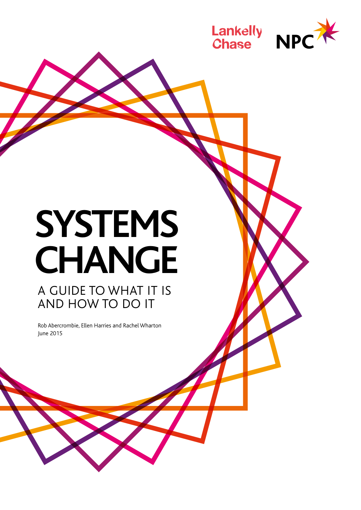

# **SYSTEMS CHANGE** A GUIDE TO WHAT IT IS

AND HOW TO DO IT

Rob Abercrombie, Ellen Harries and Rachel Wharton June 2015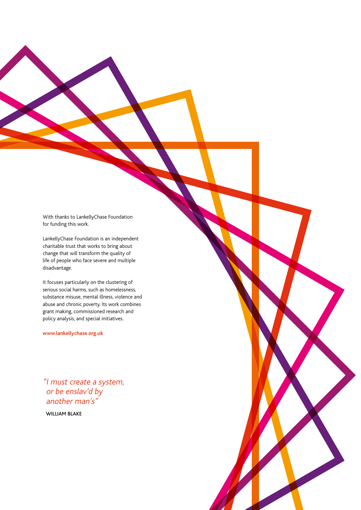With thanks to LankellyChase Foundation for funding this work.

LankellyChase Foundation is an independent charitable trust that works to bring about change that will transform the quality of life of people who face severe and multiple disadvantage.

It focuses particularly on the clustering of serious social harms, such as homelessness, substance misuse, mental illness, violence and abuse and chronic poverty. Its work combines grant making, commissioned research and policy analysis, and special initiatives.

**www.lankellychase.org.uk**

"I must create a system, or be enslav'd by another man's"

WILLIAM BLAKE

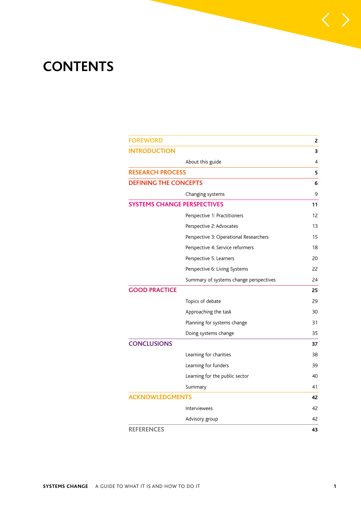## **CONTENTS**

| <b>FOREWORD</b>              |                                        | 2  |
|------------------------------|----------------------------------------|----|
| <b>INTRODUCTION</b>          |                                        | 3  |
|                              | About this guide                       | 4  |
| <b>RESEARCH PROCESS</b>      |                                        | 5  |
| <b>DEFINING THE CONCEPTS</b> |                                        | 6  |
|                              | Changing systems                       | 9  |
|                              | <b>SYSTEMS CHANGE PERSPECTIVES</b>     | 11 |
|                              | Perspective 1: Practitioners           | 12 |
|                              | Perspective 2: Advocates               | 13 |
|                              | Perspective 3: Operational Researchers | 15 |
|                              | Perspective 4: Service reformers       | 18 |
|                              | Perspective 5: Learners                | 20 |
|                              | Perspective 6: Living Systems          | 22 |
|                              | Summary of systems change perspectives | 24 |
| <b>GOOD PRACTICE</b>         |                                        | 25 |
|                              | Topics of debate                       | 29 |
|                              | Approaching the task                   | 30 |
|                              | Planning for systems change            | 31 |
|                              | Doing systems change                   | 35 |
| <b>CONCLUSIONS</b>           |                                        | 37 |
|                              | Learning for charities                 | 38 |
|                              | Learning for funders                   | 39 |
|                              | Learning for the public sector         | 40 |
|                              | Summary                                | 41 |
| <b>ACKNOWLEDGMENTS</b>       |                                        | 42 |
|                              | Interviewees                           | 42 |
|                              | Advisory group                         | 42 |
| <b>REFERENCES</b>            |                                        | 43 |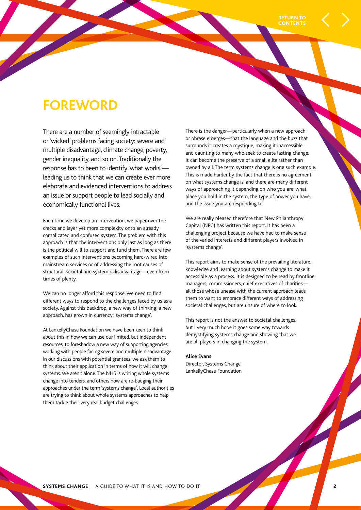## **FOREWORD**

There are a number of seemingly intractable or 'wicked' problems facing society: severe and multiple disadvantage, climate change, poverty, gender inequality, and so on. Traditionally the response has to been to identify 'what works' leading us to think that we can create ever more elaborate and evidenced interventions to address an issue or support people to lead socially and economically functional lives.

Each time we develop an intervention, we paper over the cracks and layer yet more complexity onto an already complicated and confused system. The problem with this approach is that the interventions only last as long as there is the political will to support and fund them. There are few examples of such interventions becoming hard-wired into mainstream services or of addressing the root causes of structural, societal and systemic disadvantage—even from times of plenty.

We can no longer afford this response. We need to find different ways to respond to the challenges faced by us as a society. Against this backdrop, a new way of thinking, a new approach, has grown in currency: 'systems change'.

At LankellyChase Foundation we have been keen to think about this in how we can use our limited, but independent resources, to foreshadow a new way of supporting agencies working with people facing severe and multiple disadvantage. In our discussions with potential grantees, we ask them to think about their application in terms of how it will change systems. We aren't alone. The NHS is writing whole systems change into tenders, and others now are re-badging their approaches under the term 'systems change'. Local authorities are trying to think about whole systems approaches to help them tackle their very real budget challenges.

There is the danger—particularly when a new approach or phrase emerges—that the language and the buzz that surrounds it creates a mystique, making it inaccessible and daunting to many who seek to create lasting change. It can become the preserve of a small elite rather than owned by all. The term systems change is one such example. This is made harder by the fact that there is no agreement on what systems change is, and there are many different ways of approaching it depending on who you are, what place you hold in the system, the type of power you have, and the issue you are responding to.

We are really pleased therefore that New Philanthropy Capital (NPC) has written this report. It has been a challenging project because we have had to make sense of the varied interests and different players involved in 'systems change'.

This report aims to make sense of the prevailing literature, knowledge and learning about systems change to make it accessible as a process. It is designed to be read by frontline managers, commissioners, chief executives of charities all those whose unease with the current approach leads them to want to embrace different ways of addressing societal challenges, but are unsure of where to look.

This report is not the answer to societal challenges, but I very much hope it goes some way towards demystifying systems change and showing that we are all players in changing the system.

#### **Alice Evans**

Director, Systems Change LankellyChase Foundation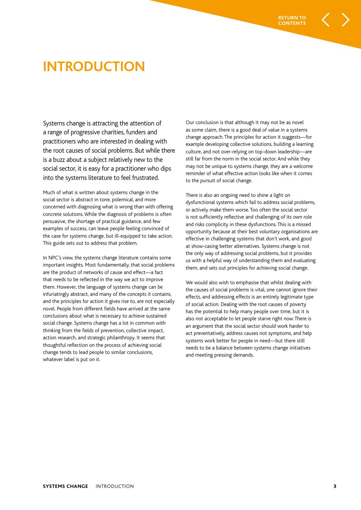

## **INTRODUCTION**

Systems change is attracting the attention of a range of progressive charities, funders and practitioners who are interested in dealing with the root causes of social problems. But while there is a buzz about a subject relatively new to the social sector, it is easy for a practitioner who dips into the systems literature to feel frustrated.

Much of what is written about systems change in the social sector is abstract in tone, polemical, and more concerned with diagnosing what is wrong than with offering concrete solutions. While the diagnosis of problems is often persuasive, the shortage of practical guidance, and few examples of success, can leave people feeling convinced of the case for systems change, but ill-equipped to take action. This guide sets out to address that problem.

In NPC's view, the systems change literature contains some important insights. Most fundamentally, that social problems are the product of networks of cause and effect—a fact that needs to be reflected in the way we act to improve them. However, the language of systems change can be infuriatingly abstract, and many of the concepts it contains, and the principles for action it gives rise to, are not especially novel. People from different fields have arrived at the same conclusions about what is necessary to achieve sustained social change. Systems change has a lot in common with thinking from the fields of prevention, collective impact, action research, and strategic philanthropy. It seems that thoughtful reflection on the process of achieving social change tends to lead people to similar conclusions, whatever label is put on it.

Our conclusion is that although it may not be as novel as some claim, there is a good deal of value in a systems change approach. The principles for action it suggests—for example developing collective solutions, building a learning culture, and not over-relying on top-down leadership—are still far from the norm in the social sector. And while they may not be unique to systems change, they are a welcome reminder of what effective action looks like when it comes to the pursuit of social change.

There is also an ongoing need to shine a light on dysfunctional systems which fail to address social problems, or actively make them worse. Too often the social sector is not sufficiently reflective and challenging of its own role and risks complicity in these dysfunctions. This is a missed opportunity because at their best voluntary organisations are effective in challenging systems that don't work, and good at show-casing better alternatives. Systems change is not the only way of addressing social problems, but it provides us with a helpful way of understanding them and evaluating them, and sets out principles for achieving social change.

We would also wish to emphasise that whilst dealing with the causes of social problems is vital, one cannot ignore their effects, and addressing effects is an entirely legitimate type of social action. Dealing with the root causes of poverty has the potential to help many people over time, but it is also not acceptable to let people starve right now. There is an argument that the social sector should work harder to act preventatively, address causes not symptoms, and help systems work better for people in need—but there still needs to be a balance between systems change initiatives and meeting pressing demands.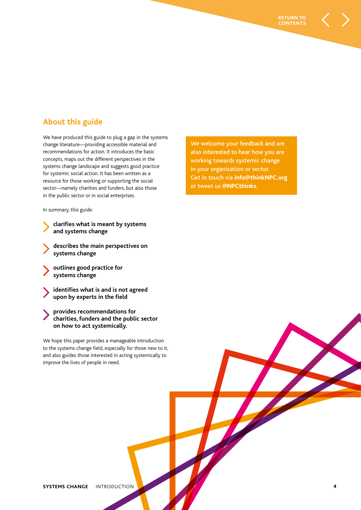## **About this guide**

We have produced this guide to plug a gap in the systems change literature—providing accessible material and recommendations for action. It introduces the basic concepts, maps out the different perspectives in the systems change landscape and suggests good practice for systemic social action. It has been written as a resource for those working or supporting the social sector—namely charities and funders, but also those in the public sector or in social enterprises.

In summary, this guide:

- **clarifies what is meant by systems and systems change**
- **describes the main perspectives on systems change**
- **outlines good practice for systems change**
- **identifies what is and is not agreed upon by experts in the field**
- **provides recommendations for charities, funders and the public sector on how to act systemically.**

We hope this paper provides a manageable introduction to the systems change field, especially for those new to it, and also guides those interested in acting systemically to improve the lives of people in need.

We welcome your feedback and are also interested to hear how you are working towards systemic change in your organisation or sector. Get in touch via **info@thinkNPC.org** or tweet us **@NPCthinks**.

**RETURN TO CONTENTS**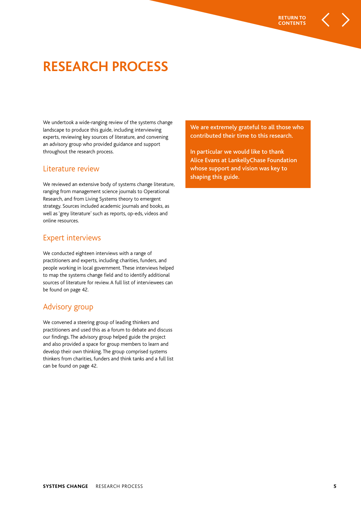

## **RESEARCH PROCESS**

We undertook a wide-ranging review of the systems change landscape to produce this guide, including interviewing experts, reviewing key sources of literature, and convening an advisory group who provided guidance and support throughout the research process.

#### Literature review

We reviewed an extensive body of systems change literature, ranging from management science journals to Operational Research, and from Living Systems theory to emergent strategy. Sources included academic journals and books, as well as 'grey literature' such as reports, op-eds, videos and online resources.

#### Expert interviews

We conducted eighteen interviews with a range of practitioners and experts, including charities, funders, and people working in local government. These interviews helped to map the systems change field and to identify additional sources of literature for review. A full list of interviewees can be found on page 42.

#### Advisory group

We convened a steering group of leading thinkers and practitioners and used this as a forum to debate and discuss our findings. The advisory group helped guide the project and also provided a space for group members to learn and develop their own thinking. The group comprised systems thinkers from charities, funders and think tanks and a full list can be found on page 42.

We are extremely grateful to all those who contributed their time to this research.

In particular we would like to thank Alice Evans at LankellyChase Foundation whose support and vision was key to shaping this guide.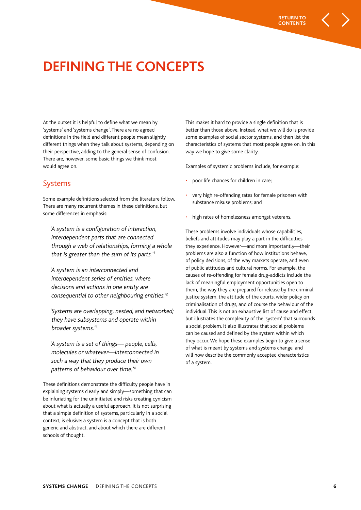

## **DEFINING THE CONCEPTS**

At the outset it is helpful to define what we mean by 'systems' and 'systems change'. There are no agreed definitions in the field and different people mean slightly different things when they talk about systems, depending on their perspective, adding to the general sense of confusion. There are, however, some basic things we think most would agree on.

#### Systems

Some example definitions selected from the literature follow. There are many recurrent themes in these definitions, but some differences in emphasis:

'A system is a configuration of interaction, interdependent parts that are connected through a web of relationships, forming a whole that is greater than the sum of its parts.' 1

'A system is an interconnected and interdependent series of entities, where decisions and actions in one entity are consequential to other neighbouring entities.' 2

'Systems are overlapping, nested, and networked; they have subsystems and operate within broader systems.' 3

'A system is a set of things- people, cells, molecules or whatever—interconnected in such a way that they produce their own patterns of behaviour over time.' 4

These definitions demonstrate the difficulty people have in explaining systems clearly and simply—something that can be infuriating for the uninitiated and risks creating cynicism about what is actually a useful approach. It is not surprising that a simple definition of systems, particularly in a social context, is elusive: a system is a concept that is both generic and abstract, and about which there are different schools of thought.

This makes it hard to provide a single definition that is better than those above. Instead, what we will do is provide some examples of social sector systems, and then list the characteristics of systems that most people agree on. In this way we hope to give some clarity.

Examples of systemic problems include, for example:

- poor life chances for children in care;
- very high re-offending rates for female prisoners with substance misuse problems; and
- high rates of homelessness amongst veterans.

These problems involve individuals whose capabilities, beliefs and attitudes may play a part in the difficulties they experience. However—and more importantly—their problems are also a function of how institutions behave, of policy decisions, of the way markets operate, and even of public attitudes and cultural norms. For example, the causes of re-offending for female drug-addicts include the lack of meaningful employment opportunities open to them, the way they are prepared for release by the criminal justice system, the attitude of the courts, wider policy on criminalisation of drugs, and of course the behaviour of the individual. This is not an exhaustive list of cause and effect, but illustrates the complexity of the 'system' that surrounds a social problem. It also illustrates that social problems can be caused and defined by the system within which they occur. We hope these examples begin to give a sense of what is meant by systems and systems change, and will now describe the commonly accepted characteristics of a system.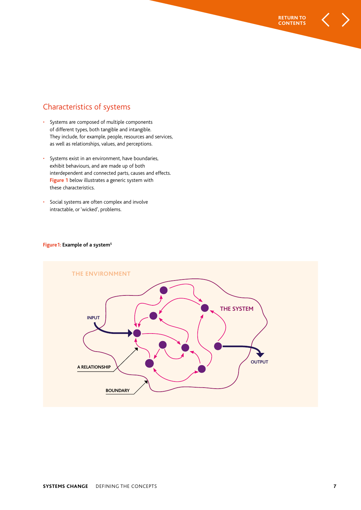## Characteristics of systems

- Systems are composed of multiple components of different types, both tangible and intangible. They include, for example, people, resources and services, as well as relationships, values, and perceptions.
- Systems exist in an environment, have boundaries, exhibit behaviours, and are made up of both interdependent and connected parts, causes and effects. **Figure 1** below illustrates a generic system with these characteristics.
- Social systems are often complex and involve intractable, or 'wicked', problems.

#### **Figure1: Example of a system<sup>5</sup>**



**RETURN TO CONTENTS**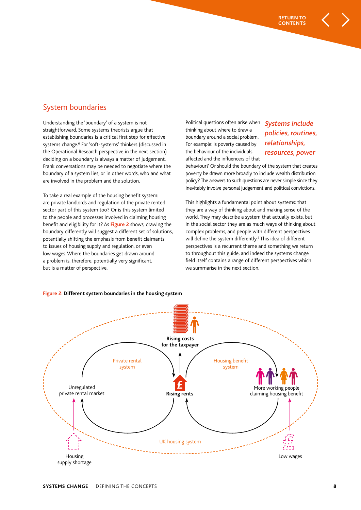## System boundaries

Understanding the 'boundary' of a system is not straightforward. Some systems theorists argue that establishing boundaries is a critical first step for effective systems change.<sup>6</sup> For 'soft-systems' thinkers (discussed in the Operational Research perspective in the next section) deciding on a boundary is always a matter of judgement. Frank conversations may be needed to negotiate where the boundary of a system lies, or in other words, who and what are involved in the problem and the solution.

To take a real example of the housing benefit system: are private landlords and regulation of the private rented sector part of this system too? Or is this system limited to the people and processes involved in claiming housing benefit and eligibility for it? As **Figure 2** shows, drawing the boundary differently will suggest a different set of solutions, potentially shifting the emphasis from benefit claimants to issues of housing supply and regulation, or even low wages. Where the boundaries get drawn around a problem is, therefore, potentially very significant, but is a matter of perspective.

Political questions often arise when thinking about where to draw a boundary around a social problem. For example: Is poverty caused by the behaviour of the individuals affected and the influencers of that

## Systems include policies, routines, relationships, resources, power

**RETURN TO CONTENTS**

behaviour? Or should the boundary of the system that creates poverty be drawn more broadly to include wealth distribution policy? The answers to such questions are never simple since they inevitably involve personal judgement and political convictions.

This highlights a fundamental point about systems: that they are a way of thinking about and making sense of the world. They may describe a system that actually exists, but in the social sector they are as much ways of thinking about complex problems, and people with different perspectives will define the system differently.<sup>7</sup> This idea of different perspectives is a recurrent theme and something we return to throughout this guide, and indeed the systems change field itself contains a range of different perspectives which we summarise in the next section.



#### **Figure 2: Different system boundaries in the housing system**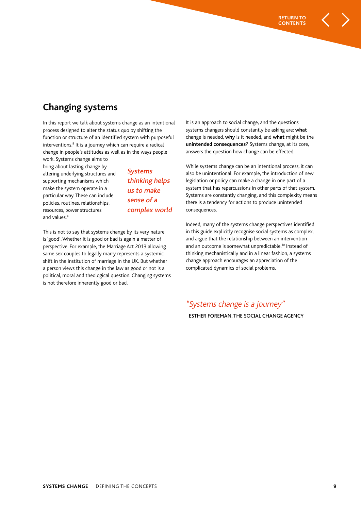## **Changing systems**

In this report we talk about systems change as an intentional process designed to alter the status quo by shifting the function or structure of an identified system with purposeful interventions.<sup>8</sup> It is a journey which can require a radical change in people's attitudes as well as in the ways people

work. Systems change aims to bring about lasting change by altering underlying structures and supporting mechanisms which make the system operate in a particular way. These can include policies, routines, relationships, resources, power structures and values.<sup>9</sup>

Systems thinking helps us to make sense of a complex world

This is not to say that systems change by its very nature is 'good'. Whether it is good or bad is again a matter of perspective. For example, the Marriage Act 2013 allowing same sex couples to legally marry represents a systemic shift in the institution of marriage in the UK. But whether a person views this change in the law as good or not is a political, moral and theological question. Changing systems is not therefore inherently good or bad.

It is an approach to social change, and the questions systems changers should constantly be asking are: **what** change is needed, **why** is it needed, and **what** might be the **unintended consequences**? Systems change, at its core, answers the question how change can be effected.

**RETURN TO CONTENTS**

While systems change can be an intentional process, it can also be unintentional. For example, the introduction of new legislation or policy can make a change in one part of a system that has repercussions in other parts of that system. Systems are constantly changing, and this complexity means there is a tendency for actions to produce unintended consequences.

Indeed, many of the systems change perspectives identified in this guide explicitly recognise social systems as complex, and argue that the relationship between an intervention and an outcome is somewhat unpredictable.<sup>10</sup> Instead of thinking mechanistically and in a linear fashion, a systems change approach encourages an appreciation of the complicated dynamics of social problems.

"Systems change is a journey"

ESTHER FOREMAN, THE SOCIAL CHANGE AGENCY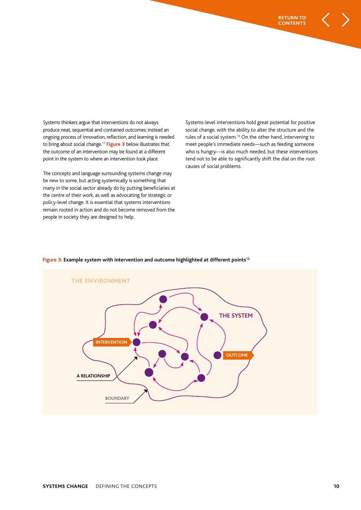Systems thinkers argue that interventions do not always produce neat, sequential and contained outcomes; instead an ongoing process of innovation, reflection, and learning is needed to bring about social change.<sup>11</sup> **Figure 3** below illustrates that the outcome of an intervention may be found at a different point in the system to where an intervention took place.

The concepts and language surrounding systems change may be new to some, but acting systemically is something that many in the social sector already do by putting beneficiaries at the centre of their work, as well as advocating for strategic or policy-level change. It is essential that systems interventions remain rooted in action and do not become removed from the people in society they are designed to help.

Systems-level interventions hold great potential for positive social change, with the ability to alter the structure and the rules of a social system.<sup>13</sup> On the other hand, intervening to meet people's immediate needs—such as feeding someone who is hungry—is also much needed, but these interventions tend not to be able to significantly shift the dial on the root causes of social problems.



#### **Figure 3: Example system with intervention and outcome highlighted at different points<sup>12</sup>**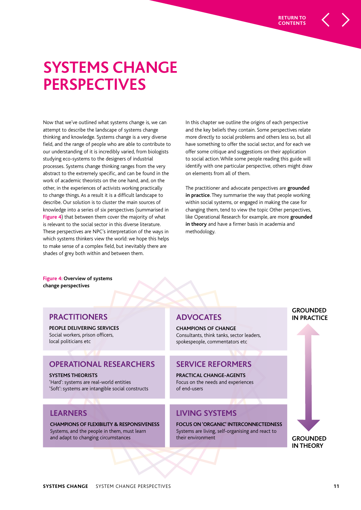# **SYSTEMS CHANGE PERSPECTIVES**

Now that we've outlined what systems change is, we can attempt to describe the landscape of systems change thinking and knowledge. Systems change is a very diverse field, and the range of people who are able to contribute to our understanding of it is incredibly varied, from biologists studying eco-systems to the designers of industrial processes. Systems change thinking ranges from the very abstract to the extremely specific, and can be found in the work of academic theorists on the one hand, and, on the other, in the experiences of activists working practically to change things. As a result it is a difficult landscape to describe. Our solution is to cluster the main sources of knowledge into a series of six perspectives (summarised in **Figure 4**) that between them cover the majority of what is relevant to the social sector in this diverse literature. These perspectives are NPC's interpretation of the ways in which systems thinkers view the world: we hope this helps to make sense of a complex field, but inevitably there are shades of grey both within and between them.

In this chapter we outline the origins of each perspective and the key beliefs they contain. Some perspectives relate more directly to social problems and others less so, but all have something to offer the social sector, and for each we offer some critique and suggestions on their application to social action. While some people reading this guide will identify with one particular perspective, others might draw on elements from all of them.

The practitioner and advocate perspectives are **grounded in practice**. They summarise the way that people working within social systems, or engaged in making the case for changing them, tend to view the topic Other perspectives, like Operational Research for example, are more **grounded in theory** and have a firmer basis in academia and methodology.

**Figure 4: Overview of systems change perspectives** 

#### **PRACTITIONERS**

**PEOPLE DELIVERING SERVICES** Social workers, prison officers, local politicians etc

#### **OPERATIONAL RESEARCHERS**

**SYSTEMS THEORISTS** 'Hard': systems are real-world entities 'Soft': systems are intangible social constructs

## **LEARNERS**

**CHAMPIONS OF FLEXIBILITY & RESPONSIVENESS** Systems, and the people in them, must learn and adapt to changing circumstances

## **ADVOCATES**

**CHAMPIONS OF CHANGE** Consultants, think tanks, sector leaders, spokespeople, commentators etc

## **SERVICE REFORMERS**

**PRACTICAL CHANGE-AGENTS** Focus on the needs and experiences of end-users

## **LIVING SYSTEMS**

**FOCUS ON 'ORGANIC' INTERCONNECTEDNESS** Systems are living, self-organising and react to their environment

#### **GROUNDED IN PRACTICE**

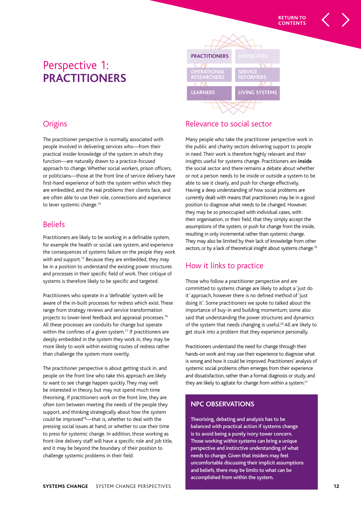

## **Origins**

The practitioner perspective is normally associated with people involved in delivering services who—from their practical insider knowledge of the system in which they function—are naturally drawn to a practice-focused approach to change. Whether social workers, prison officers, or politicians—those at the front line of service delivery have first-hand experience of both the system within which they are embedded, and the real problems their clients face, and are often able to use their role, connections and experience to lever systemic change.<sup>14</sup>

## **Beliefs**

Practitioners are likely to be working in a definable system, for example the health or social care system, and experience the consequences of systems failure on the people they work with and support.<sup>15</sup> Because they are embedded, they may be in a position to understand the existing power structures and processes in their specific field of work. Their critique of systems is therefore likely to be specific and targeted.

Practitioners who operate in a 'definable' system will be aware of the in-built processes for redress which exist. These range from strategy reviews and service transformation projects to lower-level feedback and appraisal processes.<sup>16</sup> All these processes are conduits for change but operate within the confines of a given system.<sup>17</sup> If practitioners are deeply embedded in the system they work in, they may be more likely to work within existing routes of redress rather than challenge the system more overtly.

The practitioner perspective is about getting stuck in, and people on the front line who take this approach are likely to want to see change happen quickly. They may well be interested in theory, but may not spend much time theorising. If practitioners work on the front line, they are often torn between meeting the needs of the people they support, and thinking strategically about how the system could be improved<sup>18</sup>—that is, whether to deal with the pressing social issues at hand, or whether to use their time to press for systemic change. In addition, those working as front-line delivery staff will have a specific role and job title, and it may be beyond the boundary of their position to challenge systemic problems in their field.

## Relevance to social sector

Many people who take the practitioner perspective work in the public and charity sectors delivering support to people in need. Their work is therefore highly relevant and their insights useful for systems change. Practitioners are **inside** the social sector and there remains a debate about whether or not a person needs to be inside or outside a system to be able to see it clearly, and push for change effectively. Having a deep understanding of how social problems are currently dealt with means that practitioners may be in a good position to diagnose what needs to be changed. However, they may be so preoccupied with individual cases, with their organisation, or their field, that they simply accept the assumptions of the system, or push for change from the inside, resulting in only incremental rather than systemic change. They may also be limited by their lack of knowledge from other sectors, or by a lack of theoretical insight about systems change.<sup>19</sup>

## How it links to practice

Those who follow a practitioner perspective and are committed to systems change are likely to adopt a 'just do it' approach, however there is no defined method of 'just doing it'. Some practitioners we spoke to talked about the importance of buy-in and building momentum; some also said that understanding the power structures and dynamics of the system that needs changing is useful.<sup>20</sup> All are likely to get stuck into a problem that they experience personally.

Practitioners understand the need for change through their hands-on work and may use their experience to diagnose what is wrong and how it could be improved. Practitioners' analysis of systemic social problems often emerges from their experience and dissatisfaction, rather than a formal diagnosis or study, and they are likely to agitate for change from within a system.<sup>21</sup>

#### **NPC OBSERVATIONS**

Theorising, debating and analysis has to be balanced with practical action if systems change is to avoid being a purely ivory tower concern. Those working within systems can bring a unique perspective and instinctive understanding of what needs to change. Given that insiders may feel uncomfortable discussing their implicit assumptions and beliefs, there may be limits to what can be accomplished from within the system.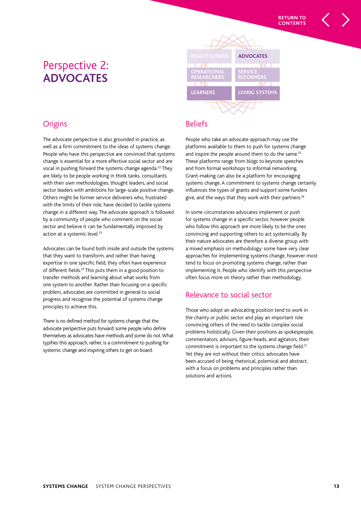## Perspective 2: **ADVOCATES**



## **Origins**

The advocate perspective is also grounded in practice, as well as a firm commitment to the ideas of systems change. People who have this perspective are convinced that systems change is essential for a more effective social sector and are vocal in pushing forward the systems change agenda.<sup>22</sup> They are likely to be people working in think tanks, consultants with their own methodologies, thought leaders, and social sector leaders with ambitions for large-scale positive change. Others might be former service deliverers who, frustrated with the limits of their role, have decided to tackle systems change in a different way. The advocate approach is followed by a community of people who comment on the social sector and believe it can be fundamentally improved by action at a systemic level.<sup>23</sup>

Advocates can be found both inside and outside the systems that they want to transform, and rather than having expertise in one specific field, they often have experience of different fields.<sup>24</sup> This puts them in a good position to transfer methods and learning about what works from one system to another. Rather than focusing on a specific problem, advocates are committed in general to social progress and recognise the potential of systems change principles to achieve this.

There is no defined method for systems change that the advocate perspective puts forward: some people who define themselves as advocates have methods and some do not. What typifies this approach, rather, is a commitment to pushing for systemic change and inspiring others to get on board.

## **Beliefs**

People who take an advocate approach may use the platforms available to them to push for systems change and inspire the people around them to do the same.<sup>25</sup> These platforms range from blogs to keynote speeches and from formal workshops to informal networking. Grant-making can also be a platform for encouraging systems change. A commitment to systems change certainly influences the types of grants and support some funders give, and the ways that they work with their partners.<sup>26</sup>

In some circumstances advocates implement or push for systems change in a specific sector, however people who follow this approach are more likely to be the ones convincing and supporting others to act systemically. By their nature advocates are therefore a diverse group with a mixed emphasis on methodology: some have very clear approaches for implementing systems change, however most tend to focus on promoting systems change, rather than implementing it. People who identify with this perspective often focus more on theory rather than methodology.

## Relevance to social sector

Those who adopt an advocating position tend to work in the charity or public sector and play an important role convincing others of the need to tackle complex social problems holistically. Given their positions as spokespeople, commentators, advisors, figure-heads, and agitators, their commitment is important to the systems change field.<sup>27</sup> Yet they are not without their critics: advocates have been accused of being rhetorical, polemical and abstract, with a focus on problems and principles rather than solutions and actions.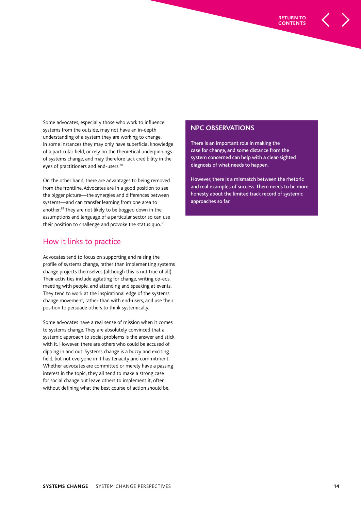Some advocates, especially those who work to influence systems from the outside, may not have an in-depth understanding of a system they are working to change. In some instances they may only have superficial knowledge of a particular field, or rely on the theoretical underpinnings of systems change, and may therefore lack credibility in the eyes of practitioners and end-users.<sup>28</sup>

On the other hand, there are advantages to being removed from the frontline. Advocates are in a good position to see the bigger picture—the synergies and differences between systems—and can transfer learning from one area to another.<sup>29</sup> They are not likely to be bogged down in the assumptions and language of a particular sector so can use their position to challenge and provoke the status quo.<sup>30</sup>

#### How it links to practice

Advocates tend to focus on supporting and raising the profile of systems change, rather than implementing systems change projects themselves (although this is not true of all). Their activities include agitating for change, writing op-eds, meeting with people, and attending and speaking at events. They tend to work at the inspirational edge of the systems change movement, rather than with end-users, and use their position to persuade others to think systemically.

Some advocates have a real sense of mission when it comes to systems change. They are absolutely convinced that a systemic approach to social problems is the answer and stick with it. However, there are others who could be accused of dipping in and out. Systems change is a buzzy and exciting field, but not everyone in it has tenacity and commitment. Whether advocates are committed or merely have a passing interest in the topic, they all tend to make a strong case for social change but leave others to implement it, often without defining what the best course of action should be.

#### **NPC OBSERVATIONS**

There is an important role in making the case for change, and some distance from the system concerned can help with a clear-sighted diagnosis of what needs to happen.

However, there is a mismatch between the rhetoric and real examples of success. There needs to be more honesty about the limited track record of systemic approaches so far.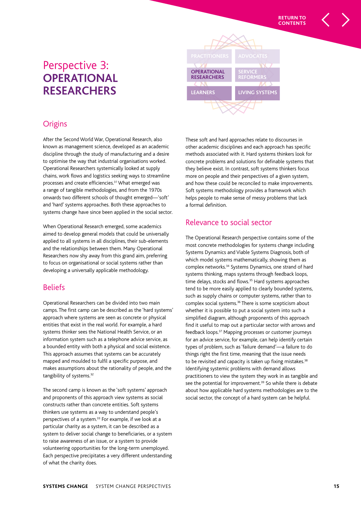## Perspective 3: **OPERATIONAL RESEARCHERS**



## **Origins**

After the Second World War, Operational Research, also known as management science, developed as an academic discipline through the study of manufacturing and a desire to optimise the way that industrial organisations worked. Operational Researchers systemically looked at supply chains, work flows and logistics seeking ways to streamline processes and create efficiencies.<sup>31</sup> What emerged was a range of tangible methodologies, and from the 1970s onwards two different schools of thought emerged—'soft' and 'hard' systems approaches. Both these approaches to systems change have since been applied in the social sector.

When Operational Research emerged, some academics aimed to develop general models that could be universally applied to all systems in all disciplines, their sub-elements and the relationships between them. Many Operational Researchers now shy away from this grand aim, preferring to focus on organisational or social systems rather than developing a universally applicable methodology.

## Beliefs

Operational Researchers can be divided into two main camps. The first camp can be described as the 'hard systems' approach where systems are seen as concrete or physical entities that exist in the real world. For example, a hard systems thinker sees the National Health Service, or an information system such as a telephone advice service, as a bounded entity with both a physical and social existence. This approach assumes that systems can be accurately mapped and moulded to fulfil a specific purpose, and makes assumptions about the rationality of people, and the tangibility of systems.<sup>32</sup>

The second camp is known as the 'soft systems' approach and proponents of this approach view systems as social constructs rather than concrete entities. Soft systems thinkers use systems as a way to understand people's perspectives of a system.<sup>33</sup> For example, if we look at a particular charity as a system, it can be described as a system to deliver social change to beneficiaries, or a system to raise awareness of an issue, or a system to provide volunteering opportunities for the long-term unemployed. Each perspective precipitates a very different understanding of what the charity does.

These soft and hard approaches relate to discourses in other academic disciplines and each approach has specific methods associated with it. Hard systems thinkers look for concrete problems and solutions for definable systems that they believe exist. In contrast, soft systems thinkers focus more on people and their perspectives of a given system, and how these could be reconciled to make improvements. Soft systems methodology provides a framework which helps people to make sense of messy problems that lack a formal definition.

## Relevance to social sector

The Operational Research perspective contains some of the most concrete methodologies for systems change including Systems Dynamics and Viable Systems Diagnosis, both of which model systems mathematically, showing them as complex networks.<sup>34</sup> Systems Dynamics, one strand of hard systems thinking, maps systems through feedback loops, time delays, stocks and flows.<sup>35</sup> Hard systems approaches tend to be more easily applied to clearly bounded systems, such as supply chains or computer systems, rather than to complex social systems.<sup>36</sup> There is some scepticism about whether it is possible to put a social system into such a simplified diagram, although proponents of this approach find it useful to map out a particular sector with arrows and feedback loops.<sup>37</sup> Mapping processes or customer journeys for an advice service, for example, can help identify certain types of problem, such as 'failure demand'—a failure to do things right the first time, meaning that the issue needs to be revisited and capacity is taken up fixing mistakes.<sup>38</sup> Identifying systemic problems with demand allows practitioners to view the system they work in as tangible and see the potential for improvement.<sup>39</sup> So while there is debate about how applicable hard systems methodologies are to the social sector, the concept of a hard system can be helpful.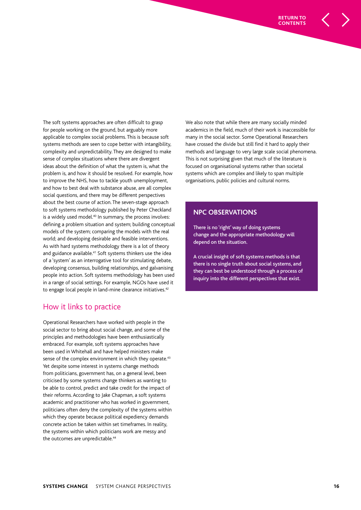The soft systems approaches are often difficult to grasp for people working on the ground, but arguably more applicable to complex social problems. This is because soft systems methods are seen to cope better with intangibility, complexity and unpredictability. They are designed to make sense of complex situations where there are divergent ideas about the definition of what the system is, what the problem is, and how it should be resolved. For example, how to improve the NHS, how to tackle youth unemployment, and how to best deal with substance abuse, are all complex social questions, and there may be different perspectives about the best course of action. The seven-stage approach to soft systems methodology published by Peter Checkland is a widely used model.<sup>40</sup> In summary, the process involves: defining a problem situation and system; building conceptual models of the system; comparing the models with the real world; and developing desirable and feasible interventions. As with hard systems methodology there is a lot of theory and guidance available.<sup>41</sup> Soft systems thinkers use the idea of a 'system' as an interrogative tool for stimulating debate, developing consensus, building relationships, and galvanising people into action. Soft systems methodology has been used in a range of social settings. For example, NGOs have used it to engage local people in land-mine clearance initiatives.<sup>42</sup>

## How it links to practice

Operational Researchers have worked with people in the social sector to bring about social change, and some of the principles and methodologies have been enthusiastically embraced. For example, soft systems approaches have been used in Whitehall and have helped ministers make sense of the complex environment in which they operate.<sup>43</sup> Yet despite some interest in systems change methods from politicians, government has, on a general level, been criticised by some systems change thinkers as wanting to be able to control, predict and take credit for the impact of their reforms. According to Jake Chapman, a soft systems academic and practitioner who has worked in government, politicians often deny the complexity of the systems within which they operate because political expediency demands concrete action be taken within set timeframes. In reality, the systems within which politicians work are messy and the outcomes are unpredictable.<sup>44</sup>

We also note that while there are many socially minded academics in the field, much of their work is inaccessible for many in the social sector. Some Operational Researchers have crossed the divide but still find it hard to apply their methods and language to very large scale social phenomena. This is not surprising given that much of the literature is focused on organisational systems rather than societal systems which are complex and likely to span multiple organisations, public policies and cultural norms.

#### **NPC OBSERVATIONS**

There is no 'right' way of doing systems change and the appropriate methodology will depend on the situation.

A crucial insight of soft systems methods is that there is no single truth about social systems, and they can best be understood through a process of inquiry into the different perspectives that exist.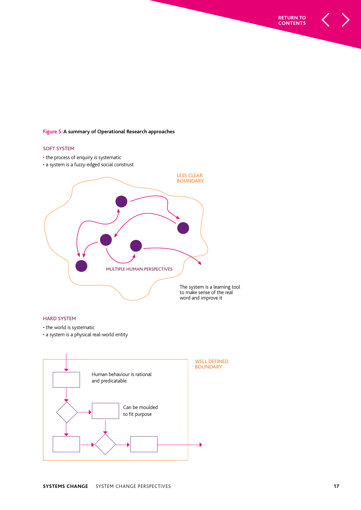#### **Figure 5: A summary of Operational Research approaches**

#### **SOFT SYSTEM**

- the process of enquiry is systematic
- a system is a fuzzy-edged social construst



#### **HARD SYSTEM**

- the world is systematic
- a system is a physical real-world entity



**RETURN TO CONTENTS**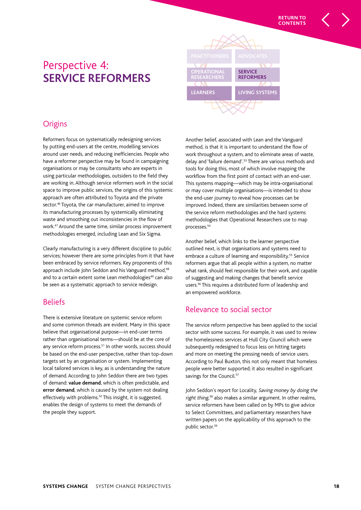## Perspective 4: **SERVICE REFORMERS**



## **Origins**

Reformers focus on systematically redesigning services by putting end-users at the centre, modelling services around user needs, and reducing inefficiencies. People who have a reformer perspective may be found in campaigning organisations or may be consultants who are experts in using particular methodologies, outsiders to the field they are working in. Although service reformers work in the social space to improve public services, the origins of this systemic approach are often attributed to Toyota and the private sector.<sup>46</sup> Toyota, the car manufacturer, aimed to improve its manufacturing processes by systemically eliminating waste and smoothing out inconsistencies in the flow of work.<sup>47</sup> Around the same time, similar process improvement methodologies emerged, including Lean and Six Sigma.

Clearly manufacturing is a very different discipline to public services; however there are some principles from it that have been embraced by service reformers. Key proponents of this approach include John Seddon and his Vanguard method,<sup>48</sup> and to a certain extent some Lean methodologies<sup>49</sup> can also be seen as a systematic approach to service redesign.

## Beliefs

There is extensive literature on systemic service reform and some common threads are evident. Many in this space believe that organisational purpose—in end-user terms rather than organisational terms—should be at the core of any service reform process.<sup>51</sup> In other words, success should be based on the end-user perspective, rather than top-down targets set by an organisation or system. Implementing local tailored services is key, as is understanding the nature of demand. According to John Seddon there are two types of demand: **value demand**, which is often predictable, and **error demand**, which is caused by the system not dealing effectively with problems.<sup>52</sup> This insight, it is suggested, enables the design of systems to meet the demands of the people they support.

Another belief, associated with Lean and the Vanguard method, is that it is important to understand the flow of work throughout a system, and to eliminate areas of waste, delay and 'failure demand'.<sup>53</sup> There are various methods and tools for doing this, most of which involve mapping the workflow from the first point of contact with an end-user. This systems mapping—which may be intra-organisational or may cover multiple organisations—is intended to show the end-user journey to reveal how processes can be improved. Indeed, there are similarities between some of the service reform methodologies and the hard systems methodologies that Operational Researchers use to map processes.<sup>54</sup>

Another belief, which links to the learner perspective outlined next, is that organisations and systems need to embrace a culture of learning and responsibility.<sup>55</sup> Service reformers argue that all people within a system, no matter what rank, should feel responsible for their work, and capable of suggesting and making changes that benefit service users.<sup>56</sup> This requires a distributed form of leadership and an empowered workforce.

## Relevance to social sector

The service reform perspective has been applied to the social sector with some success. For example, it was used to review the homelessness services at Hull City Council which were subsequently redesigned to focus less on hitting targets and more on meeting the pressing needs of service users. According to Paul Buxton, this not only meant that homeless people were better supported; it also resulted in significant savings for the Council.<sup>57</sup>

John Seddon's report for Locality, Saving money by doing the right thing,<sup>58</sup> also makes a similar argument. In other realms, service reformers have been called on by MPs to give advice to Select Committees, and parliamentary researchers have written papers on the applicability of this approach to the public sector.<sup>59</sup>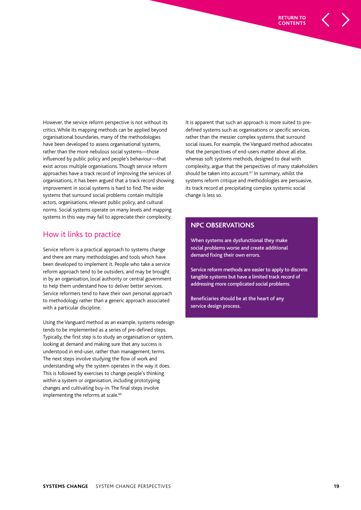However, the service reform perspective is not without its critics. While its mapping methods can be applied beyond organisational boundaries, many of the methodologies have been developed to assess organisational systems, rather than the more nebulous social systems—those influenced by public policy and people's behaviour—that exist across multiple organisations. Though service reform approaches have a track record of improving the services of organisations, it has been argued that a track record showing improvement in social systems is hard to find. The wider systems that surround social problems contain multiple actors, organisations, relevant public policy, and cultural norms. Social systems operate on many levels and mapping systems in this way may fail to appreciate their complexity.

#### How it links to practice

Service reform is a practical approach to systems change and there are many methodologies and tools which have been developed to implement it. People who take a service reform approach tend to be outsiders, and may be brought in by an organisation, local authority or central government to help them understand how to deliver better services. Service reformers tend to have their own personal approach to methodology rather than a generic approach associated with a particular discipline.

Using the Vanguard method as an example, systems redesign tends to be implemented as a series of pre-defined steps. Typically, the first step is to study an organisation or system, looking at demand and making sure that any success is understood in end-user, rather than management, terms. The next steps involve studying the flow of work and understanding why the system operates in the way it does. This is followed by exercises to change people's thinking within a system or organisation, including prototyping changes and cultivating buy-in. The final steps involve implementing the reforms at scale.<sup>60</sup>

It is apparent that such an approach is more suited to predefined systems such as organisations or specific services, rather than the messier complex systems that surround social issues. For example, the Vanguard method advocates that the perspectives of end-users matter above all else, whereas soft systems methods, designed to deal with complexity, argue that the perspectives of many stakeholders should be taken into account.<sup>61</sup> In summary, whilst the systems reform critique and methodologies are persuasive, its track record at precipitating complex systemic social change is less so.

#### **NPC OBSERVATIONS**

When systems are dysfunctional they make social problems worse and create additional demand fixing their own errors.

Service reform methods are easier to apply to discrete tangible systems but have a limited track record of addressing more complicated social problems.

Beneficiaries should be at the heart of any service design process.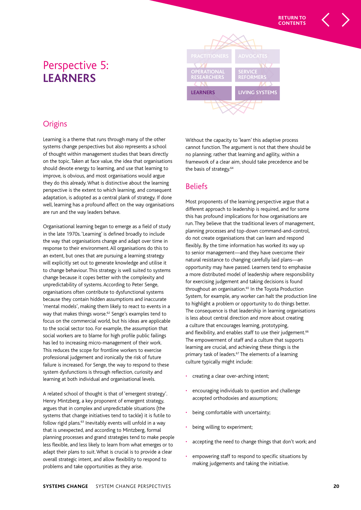## Perspective 5: **LEARNERS**



## **Origins**

Learning is a theme that runs through many of the other systems change perspectives but also represents a school of thought within management studies that bears directly on the topic. Taken at face value, the idea that organisations should devote energy to learning, and use that learning to improve, is obvious, and most organisations would argue they do this already. What is distinctive about the learning perspective is the extent to which learning, and consequent adaptation, is adopted as a central plank of strategy. If done well, learning has a profound affect on the way organisations are run and the way leaders behave.

Organisational learning began to emerge as a field of study in the late 1970s. 'Learning' is defined broadly to include the way that organisations change and adapt over time in response to their environment. All organisations do this to an extent, but ones that are pursuing a learning strategy will explicitly set out to generate knowledge and utilise it to change behaviour. This strategy is well suited to systems change because it copes better with the complexity and unpredictability of systems. According to Peter Senge, organisations often contribute to dysfunctional systems because they contain hidden assumptions and inaccurate 'mental models', making them likely to react to events in a way that makes things worse.<sup>62</sup> Senge's examples tend to focus on the commercial world, but his ideas are applicable to the social sector too. For example, the assumption that social workers are to blame for high profile public failings has led to increasing micro-management of their work. This reduces the scope for frontline workers to exercise professional judgement and ironically the risk of future failure is increased. For Senge, the way to respond to these system dysfunctions is through reflection, curiosity and learning at both individual and organisational levels.

A related school of thought is that of 'emergent strategy'. Henry Mintzberg, a key proponent of emergent strategy, argues that in complex and unpredictable situations (the systems that change initiatives tend to tackle) it is futile to follow rigid plans.<sup>63</sup> Inevitably events will unfold in a way that is unexpected, and according to Mintzberg, formal planning processes and grand strategies tend to make people less flexible, and less likely to learn from what emerges or to adapt their plans to suit. What is crucial is to provide a clear overall strategic intent, and allow flexibility to respond to problems and take opportunities as they arise.

Without the capacity to 'learn' this adaptive process cannot function. The argument is not that there should be no planning; rather that learning and agility, within a framework of a clear aim, should take precedence and be the basis of strategy.<sup>64</sup>

## **Beliefs**

Most proponents of the learning perspective argue that a different approach to leadership is required, and for some this has profound implications for how organisations are run. They believe that the traditional levers of management, planning processes and top-down command-and-control, do not create organisations that can learn and respond flexibly. By the time information has worked its way up to senior management—and they have overcome their natural resistance to changing carefully laid plans—an opportunity may have passed. Learners tend to emphasise a more distributed model of leadership where responsibility for exercising judgement and taking decisions is found throughout an organisation.<sup>65</sup> In the Toyota Production System, for example, any worker can halt the production line to highlight a problem or opportunity to do things better. The consequence is that leadership in learning organisations is less about central direction and more about creating a culture that encourages learning, prototyping, and flexibility, and enables staff to use their judgement.<sup>66</sup> The empowerment of staff and a culture that supports learning are crucial, and achieving these things is the primary task of leaders.<sup>67</sup> The elements of a learning culture typically might include:

- creating a clear over-arching intent;
- encouraging individuals to question and challenge accepted orthodoxies and assumptions;
- being comfortable with uncertainty;
- being willing to experiment;
- accepting the need to change things that don't work; and
- empowering staff to respond to specific situations by making judgements and taking the initiative.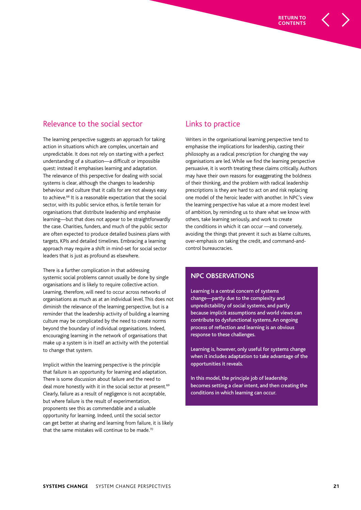

## Relevance to the social sector

The learning perspective suggests an approach for taking action in situations which are complex, uncertain and unpredictable. It does not rely on starting with a perfect understanding of a situation—a difficult or impossible quest: instead it emphasises learning and adaptation. The relevance of this perspective for dealing with social systems is clear, although the changes to leadership behaviour and culture that it calls for are not always easy to achieve.<sup>68</sup> It is a reasonable expectation that the social sector, with its public service ethos, is fertile terrain for organisations that distribute leadership and emphasise learning—but that does not appear to be straightforwardly the case. Charities, funders, and much of the public sector are often expected to produce detailed business plans with targets, KPIs and detailed timelines. Embracing a learning approach may require a shift in mind-set for social sector leaders that is just as profound as elsewhere.

There is a further complication in that addressing systemic social problems cannot usually be done by single organisations and is likely to require collective action. Learning, therefore, will need to occur across networks of organisations as much as at an individual level. This does not diminish the relevance of the learning perspective, but is a reminder that the leadership activity of building a learning culture may be complicated by the need to create norms beyond the boundary of individual organisations. Indeed, encouraging learning in the network of organisations that make up a system is in itself an activity with the potential to change that system.

Implicit within the learning perspective is the principle that failure is an opportunity for learning and adaptation. There is some discussion about failure and the need to deal more honestly with it in the social sector at present.<sup>69</sup> Clearly, failure as a result of negligence is not acceptable, but where failure is the result of experimentation, proponents see this as commendable and a valuable opportunity for learning. Indeed, until the social sector can get better at sharing and learning from failure, it is likely that the same mistakes will continue to be made.<sup>70</sup>

## Links to practice

Writers in the organisational learning perspective tend to emphasise the implications for leadership, casting their philosophy as a radical prescription for changing the way organisations are led. While we find the learning perspective persuasive, it is worth treating these claims critically. Authors may have their own reasons for exaggerating the boldness of their thinking, and the problem with radical leadership prescriptions is they are hard to act on and risk replacing one model of the heroic leader with another. In NPC's view the learning perspective has value at a more modest level of ambition, by reminding us to share what we know with others, take learning seriously, and work to create the conditions in which it can occur —and conversely, avoiding the things that prevent it such as blame cultures, over-emphasis on taking the credit, and command-andcontrol bureaucracies.

#### **NPC OBSERVATIONS**

Learning is a central concern of systems change—partly due to the complexity and unpredictability of social systems, and partly because implicit assumptions and world views can contribute to dysfunctional systems. An ongoing process of reflection and learning is an obvious response to these challenges.

Learning is, however, only useful for systems change when it includes adaptation to take advantage of the opportunities it reveals.

In this model, the principle job of leadership becomes setting a clear intent, and then creating the conditions in which learning can occur.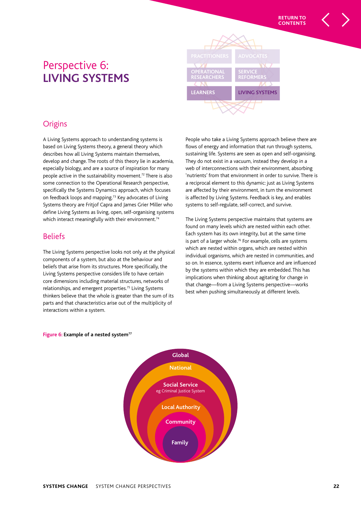

## **Origins**

A Living Systems approach to understanding systems is based on Living Systems theory, a general theory which describes how all Living Systems maintain themselves, develop and change. The roots of this theory lie in academia, especially biology, and are a source of inspiration for many people active in the sustainability movement.<sup>72</sup> There is also some connection to the Operational Research perspective, specifically the Systems Dynamics approach, which focuses on feedback loops and mapping.<sup>73</sup> Key advocates of Living Systems theory are Fritjof Capra and James Grier Miller who define Living Systems as living, open, self-organising systems which interact meaningfully with their environment.<sup>74</sup>

#### **Beliefs**

The Living Systems perspective looks not only at the physical components of a system, but also at the behaviour and beliefs that arise from its structures. More specifically, the Living Systems perspective considers life to have certain core dimensions including material structures, networks of relationships, and emergent properties.<sup>75</sup> Living Systems thinkers believe that the whole is greater than the sum of its parts and that characteristics arise out of the multiplicity of interactions within a system.

People who take a Living Systems approach believe there are flows of energy and information that run through systems, sustaining life. Systems are seen as open and self-organising. They do not exist in a vacuum, instead they develop in a web of interconnections with their environment, absorbing 'nutrients' from that environment in order to survive. There is a reciprocal element to this dynamic: just as Living Systems are affected by their environment, in turn the environment is affected by Living Systems. Feedback is key, and enables systems to self-regulate, self-correct, and survive.

The Living Systems perspective maintains that systems are found on many levels which are nested within each other. Each system has its own integrity, but at the same time is part of a larger whole.<sup>76</sup> For example, cells are systems which are nested within organs, which are nested within individual organisms, which are nested in communities, and so on. In essence, systems exert influence and are influenced by the systems within which they are embedded. This has implications when thinking about agitating for change in that change—from a Living Systems perspective—works best when pushing simultaneously at different levels.



#### **Figure 6: Example of a nested system<sup>77</sup>**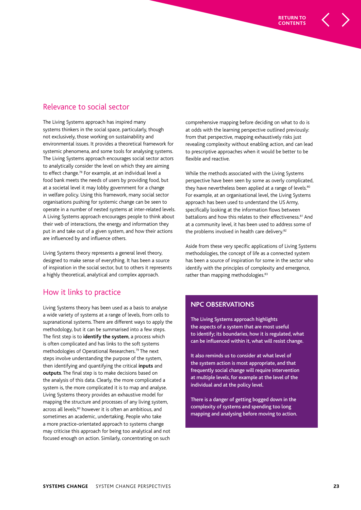## Relevance to social sector

The Living Systems approach has inspired many systems thinkers in the social space, particularly, though not exclusively, those working on sustainability and environmental issues. It provides a theoretical framework for systemic phenomena, and some tools for analysing systems. The Living Systems approach encourages social sector actors to analytically consider the level on which they are aiming to effect change.<sup>78</sup> For example, at an individual level a food bank meets the needs of users by providing food, but at a societal level it may lobby government for a change in welfare policy. Using this framework, many social sector organisations pushing for systemic change can be seen to operate in a number of nested systems at inter-related levels. A Living Systems approach encourages people to think about their web of interactions, the energy and information they put in and take out of a given system, and how their actions are influenced by and influence others.

Living Systems theory represents a general level theory, designed to make sense of everything. It has been a source of inspiration in the social sector, but to others it represents a highly theoretical, analytical and complex approach.

## How it links to practice

Living Systems theory has been used as a basis to analyse a wide variety of systems at a range of levels, from cells to supranational systems. There are different ways to apply the methodology, but it can be summarised into a few steps. The first step is to **identify the system**, a process which is often complicated and has links to the soft systems methodologies of Operational Researchers.<sup>79</sup> The next steps involve understanding the purpose of the system, then identifying and quantifying the critical **inputs** and **outputs**. The final step is to make decisions based on the analysis of this data. Clearly, the more complicated a system is, the more complicated it is to map and analyse. Living Systems theory provides an exhaustive model for mapping the structure and processes of any living system, across all levels.<sup>80</sup> however it is often an ambitious, and sometimes an academic, undertaking. People who take a more practice-orientated approach to systems change may criticise this approach for being too analytical and not focused enough on action. Similarly, concentrating on such

comprehensive mapping before deciding on what to do is at odds with the learning perspective outlined previously: from that perspective, mapping exhaustively risks just revealing complexity without enabling action, and can lead to prescriptive approaches when it would be better to be flexible and reactive.

While the methods associated with the Living Systems perspective have been seen by some as overly complicated, they have nevertheless been applied at a range of levels.<sup>80</sup> For example, at an organisational level, the Living Systems approach has been used to understand the US Army, specifically looking at the information flows between battalions and how this relates to their effectiveness.<sup>81</sup> And at a community level, it has been used to address some of the problems involved in health care delivery.<sup>82</sup>

Aside from these very specific applications of Living Systems methodologies, the concept of life as a connected system has been a source of inspiration for some in the sector who identify with the principles of complexity and emergence, rather than mapping methodologies.<sup>83</sup>

#### **NPC OBSERVATIONS**

The Living Systems approach highlights the aspects of a system that are most useful to identify; its boundaries, how it is regulated, what can be influenced within it, what will resist change.

It also reminds us to consider at what level of the system action is most appropriate, and that frequently social change will require intervention at multiple levels, for example at the level of the individual and at the policy level.

There is a danger of getting bogged down in the complexity of systems and spending too long mapping and analysing before moving to action.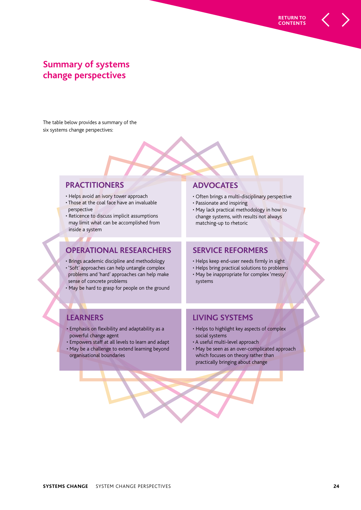## **Summary of systems change perspectives**

The table below provides a summary of the six systems change perspectives:

#### **PRACTITIONERS**

- Helps avoid an ivory tower approach
- Those at the coal face have an invaluable perspective
- Reticence to discuss implicit assumptions may limit what can be accomplished from inside a system

#### **OPERATIONAL RESEARCHERS**

- Brings academic discipline and methodology
- 'Soft' approaches can help untangle complex problems and 'hard' approaches can help make sense of concrete problems
- May be hard to grasp for people on the ground

#### **ADVOCATES**

• Often brings a multi-disciplinary perspective

**RETURN TO CONTENTS**

- Passionate and inspiring
- May lack practical methodology in how to change systems, with results not always matching-up to rhetoric

#### **SERVICE REFORMERS**

- Helps keep end-user needs firmly in sight
- Helps bring practical solutions to problems
- May be inappropriate for complex 'messy' systems

## **LEARNERS**

• Emphasis on flexibility and adaptability as a powerful change agent

• Empowers staff at all levels to learn and adapt • May be a challenge to extend learning beyond organisational boundaries

### **LIVING SYSTEMS**

- Helps to highlight key aspects of complex social systems
- A useful multi-level approach
- May be seen as an over-complicated approach which focuses on theory rather than practically bringing about change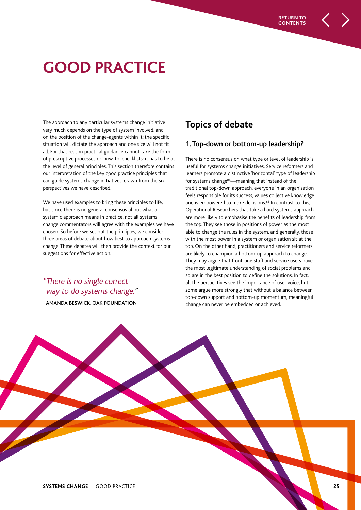# **GOOD PRACTICE**

The approach to any particular systems change initiative very much depends on the type of system involved, and on the position of the change-agents within it: the specific situation will dictate the approach and one size will not fit all. For that reason practical guidance cannot take the form of prescriptive processes or 'how-to' checklists: it has to be at the level of general principles. This section therefore contains our interpretation of the key good practice principles that can guide systems change initiatives, drawn from the six perspectives we have described.

We have used examples to bring these principles to life, but since there is no general consensus about what a systemic approach means in practice, not all systems change commentators will agree with the examples we have chosen. So before we set out the principles, we consider three areas of debate about how best to approach systems change. These debates will then provide the context for our suggestions for effective action.

## "There is no single correct way to do systems change." AMANDA BESWICK, OAK FOUNDATION

## **Topics of debate**

#### **1. Top-down or bottom-up leadership?**

There is no consensus on what type or level of leadership is useful for systems change initiatives. Service reformers and learners promote a distinctive 'horizontal' type of leadership for systems change<sup>84</sup>—meaning that instead of the traditional top-down approach, everyone in an organisation feels responsible for its success, values collective knowledge and is empowered to make decisions.<sup>85</sup> In contrast to this, Operational Researchers that take a hard systems approach are more likely to emphasise the benefits of leadership from the top. They see those in positions of power as the most able to change the rules in the system, and generally, those with the most power in a system or organisation sit at the top. On the other hand, practitioners and service reformers are likely to champion a bottom-up approach to change. They may argue that front-line staff and service users have the most legitimate understanding of social problems and so are in the best position to define the solutions. In fact, all the perspectives see the importance of user voice, but some argue more strongly that without a balance between top-down support and bottom-up momentum, meaningful change can never be embedded or achieved.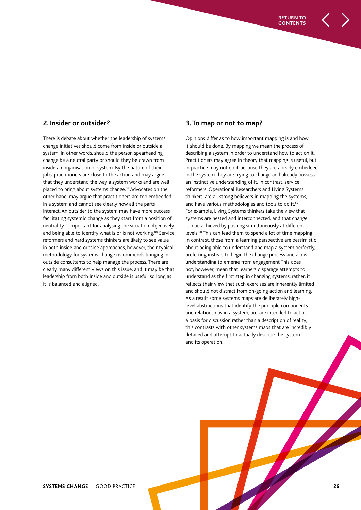#### **2. Insider or outsider?**

There is debate about whether the leadership of systems change initiatives should come from inside or outside a system. In other words, should the person spearheading change be a neutral party or should they be drawn from inside an organisation or system. By the nature of their jobs, practitioners are close to the action and may argue that they understand the way a system works and are well placed to bring about systems change.<sup>87</sup> Advocates on the other hand, may argue that practitioners are too embedded in a system and cannot see clearly how all the parts interact. An outsider to the system may have more success facilitating systemic change as they start from a position of neutrality—important for analysing the situation objectively and being able to identify what is or is not working.<sup>88</sup> Service reformers and hard systems thinkers are likely to see value in both inside and outside approaches, however, their typical methodology for systems change recommends bringing in outside consultants to help manage the process. There are clearly many different views on this issue, and it may be that leadership from both inside and outside is useful, so long as it is balanced and aligned.

#### **3. To map or not to map?**

Opinions differ as to how important mapping is and how it should be done. By mapping we mean the process of describing a system in order to understand how to act on it. Practitioners may agree in theory that mapping is useful, but in practice may not do it because they are already embedded in the system they are trying to change and already possess an instinctive understanding of it. In contrast, service reformers, Operational Researchers and Living Systems thinkers, are all strong believers in mapping the systems, and have various methodologies and tools to do it.<sup>89</sup> For example, Living Systems thinkers take the view that systems are nested and interconnected, and that change can be achieved by pushing simultaneously at different levels.<sup>90</sup> This can lead them to spend a lot of time mapping. In contrast, those from a learning perspective are pessimistic about being able to understand and map a system perfectly, preferring instead to begin the change process and allow understanding to emerge from engagement This does not, however, mean that learners disparage attempts to understand as the first step in changing systems; rather, it reflects their view that such exercises are inherently limited and should not distract from on-going action and learning. As a result some systems maps are deliberately highlevel abstractions that identify the principle components and relationships in a system, but are intended to act as a basis for discussion rather than a description of reality; this contrasts with other systems maps that are incredibly detailed and attempt to actually describe the system and its operation.

**RETURN TO CONTENTS**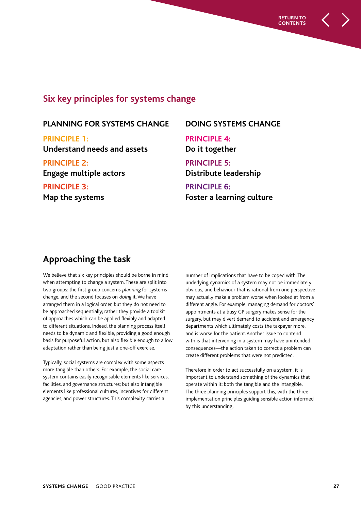

## **Six key principles for systems change**

## **PLANNING FOR SYSTEMS CHANGE**

**PRINCIPLE 1: Understand needs and assets**

**PRINCIPLE 2: Engage multiple actors**

**PRINCIPLE 3: Map the systems**

## **DOING SYSTEMS CHANGE**

**PRINCIPLE 4: Do it together**

**PRINCIPLE 5: Distribute leadership**

**PRINCIPLE 6: Foster a learning culture**

## **Approaching the task**

We believe that six key principles should be borne in mind when attempting to change a system. These are split into two groups: the first group concerns planning for systems change, and the second focuses on doing it. We have arranged them in a logical order, but they do not need to be approached sequentially; rather they provide a toolkit of approaches which can be applied flexibly and adapted to different situations. Indeed, the planning process itself needs to be dynamic and flexible, providing a good enough basis for purposeful action, but also flexible enough to allow adaptation rather than being just a one-off exercise.

Typically, social systems are complex with some aspects more tangible than others. For example, the social care system contains easily recognisable elements like services, facilities, and governance structures; but also intangible elements like professional cultures, incentives for different agencies, and power structures. This complexity carries a

number of implications that have to be coped with. The underlying dynamics of a system may not be immediately obvious, and behaviour that is rational from one perspective may actually make a problem worse when looked at from a different angle. For example, managing demand for doctors' appointments at a busy GP surgery makes sense for the surgery, but may divert demand to accident and emergency departments which ultimately costs the taxpayer more, and is worse for the patient.Another issue to contend with is that intervening in a system may have unintended consequences—the action taken to correct a problem can create different problems that were not predicted.

Therefore in order to act successfully on a system, it is important to understand something of the dynamics that operate within it: both the tangible and the intangible. The three planning principles support this, with the three implementation principles guiding sensible action informed by this understanding.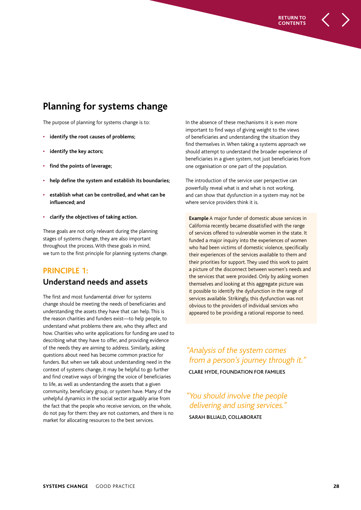## **Planning for systems change**

The purpose of planning for systems change is to:

- **identify the root causes of problems;**
- **identify the key actors;**
- **find the points of leverage;**
- **help define the system and establish its boundaries;**
- **establish what can be controlled, and what can be influenced; and**
- **clarify the objectives of taking action.**

These goals are not only relevant during the planning stages of systems change, they are also important throughout the process. With these goals in mind, we turn to the first principle for planning systems change.

## **PRINCIPLE 1: Understand needs and assets**

The first and most fundamental driver for systems change should be meeting the needs of beneficiaries and understanding the assets they have that can help. This is the reason charities and funders exist—to help people, to understand what problems there are, who they affect and how. Charities who write applications for funding are used to describing what they have to offer, and providing evidence of the needs they are aiming to address. Similarly, asking questions about need has become common practice for funders. But when we talk about understanding need in the context of systems change, it may be helpful to go further and find creative ways of bringing the voice of beneficiaries to life, as well as understanding the assets that a given community, beneficiary group, or system have. Many of the unhelpful dynamics in the social sector arguably arise from the fact that the people who receive services, on the whole, do not pay for them: they are not customers, and there is no market for allocating resources to the best services.

In the absence of these mechanisms it is even more important to find ways of giving weight to the views of beneficiaries and understanding the situation they find themselves in. When taking a systems approach we should attempt to understand the broader experience of beneficiaries in a given system, not just beneficiaries from one organisation or one part of the population.

**RETURN TO CONTENTS**

The introduction of the service user perspective can powerfully reveal what is and what is not working, and can show that dysfunction in a system may not be where service providers think it is.

**Example** A major funder of domestic abuse services in California recently became dissatisfied with the range of services offered to vulnerable women in the state. It funded a major inquiry into the experiences of women who had been victims of domestic violence, specifically their experiences of the services available to them and their priorities for support. They used this work to paint a picture of the disconnect between women's needs and the services that were provided. Only by asking women themselves and looking at this aggregate picture was it possible to identify the dysfunction in the range of services available. Strikingly, this dysfunction was not obvious to the providers of individual services who appeared to be providing a rational response to need.

## "Analysis of the system comes from a person's journey through it."

CLARE HYDE, FOUNDATION FOR FAMILIES

## " You should involve the people delivering and using services."

SARAH BILLIALD, COLLABORATE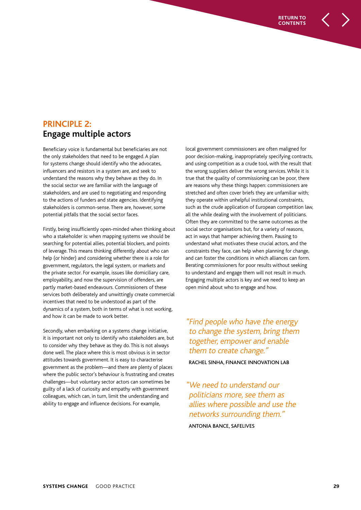## **PRINCIPLE 2: Engage multiple actors**

Beneficiary voice is fundamental but beneficiaries are not the only stakeholders that need to be engaged. A plan for systems change should identify who the advocates, influencers and resistors in a system are, and seek to understand the reasons why they behave as they do. In the social sector we are familiar with the language of stakeholders, and are used to negotiating and responding to the actions of funders and state agencies. Identifying stakeholders is common-sense. There are, however, some potential pitfalls that the social sector faces.

Firstly, being insufficiently open-minded when thinking about who a stakeholder is: when mapping systems we should be searching for potential allies, potential blockers, and points of leverage. This means thinking differently about who can help (or hinder) and considering whether there is a role for government, regulators, the legal system, or markets and the private sector. For example, issues like domiciliary care, employability, and now the supervision of offenders, are partly market-based endeavours. Commissioners of these services both deliberately and unwittingly create commercial incentives that need to be understood as part of the dynamics of a system, both in terms of what is not working, and how it can be made to work better.

Secondly, when embarking on a systems change initiative, it is important not only to identify who stakeholders are, but to consider why they behave as they do. This is not always done well. The place where this is most obvious is in sector attitudes towards government. It is easy to characterise government as the problem—and there are plenty of places where the public sector's behaviour is frustrating and creates challenges—but voluntary sector actors can sometimes be guilty of a lack of curiosity and empathy with government colleagues, which can, in turn, limit the understanding and ability to engage and influence decisions. For example,

local government commissioners are often maligned for poor decision-making, inappropriately specifying contracts, and using competition as a crude tool, with the result that the wrong suppliers deliver the wrong services. While it is true that the quality of commissioning can be poor, there are reasons why these things happen: commissioners are stretched and often cover briefs they are unfamiliar with; they operate within unhelpful institutional constraints, such as the crude application of European competition law, all the while dealing with the involvement of politicians. Often they are committed to the same outcomes as the social sector organisations but, for a variety of reasons, act in ways that hamper achieving them. Pausing to understand what motivates these crucial actors, and the constraints they face, can help when planning for change, and can foster the conditions in which alliances can form. Berating commissioners for poor results without seeking to understand and engage them will not result in much. Engaging multiple actors is key and we need to keep an open mind about who to engage and how.

**RETURN TO CONTENTS**

"Find people who have the energy to change the system, bring them together, empower and enable them to create change."

RACHEL SINHA, FINANCE INNOVATION LAB

" We need to understand our politicians more, see them as allies where possible and use the networks surrounding them." ANTONIA BANCE, SAFELIVES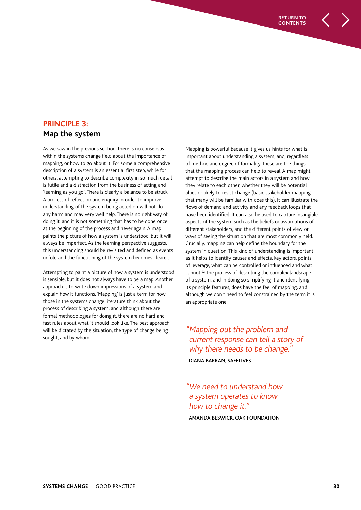## **PRINCIPLE 3: Map the system**

As we saw in the previous section, there is no consensus within the systems change field about the importance of mapping, or how to go about it. For some a comprehensive description of a system is an essential first step, while for others, attempting to describe complexity in so much detail is futile and a distraction from the business of acting and 'learning as you go'. There is clearly a balance to be struck. A process of reflection and enquiry in order to improve understanding of the system being acted on will not do any harm and may very well help. There is no right way of doing it, and it is not something that has to be done once at the beginning of the process and never again. A map paints the picture of how a system is understood, but it will always be imperfect. As the learning perspective suggests, this understanding should be revisited and defined as events unfold and the functioning of the system becomes clearer.

Attempting to paint a picture of how a system is understood is sensible, but it does not always have to be a map. Another approach is to write down impressions of a system and explain how it functions. 'Mapping' is just a term for how those in the systems change literature think about the process of describing a system, and although there are formal methodologies for doing it, there are no hard and fast rules about what it should look like. The best approach will be dictated by the situation, the type of change being sought, and by whom.

Mapping is powerful because it gives us hints for what is important about understanding a system, and, regardless of method and degree of formality, these are the things that the mapping process can help to reveal. A map might attempt to describe the main actors in a system and how they relate to each other, whether they will be potential allies or likely to resist change (basic stakeholder mapping that many will be familiar with does this). It can illustrate the flows of demand and activity and any feedback loops that have been identified. It can also be used to capture intangible aspects of the system such as the beliefs or assumptions of different stakeholders, and the different points of view or ways of seeing the situation that are most commonly held. Crucially, mapping can help define the boundary for the system in question. This kind of understanding is important as it helps to identify causes and effects, key actors, points of leverage, what can be controlled or influenced and what cannot.<sup>92</sup> The process of describing the complex landscape of a system, and in doing so simplifying it and identifying its principle features, does have the feel of mapping, and although we don't need to feel constrained by the term it is an appropriate one.

**RETURN TO CONTENTS**

"Mapping out the problem and current response can tell a story of why there needs to be change." DIANA BARRAN, SAFELIVES

" We need to understand how a system operates to know how to change it."

AMANDA BESWICK, OAK FOUNDATION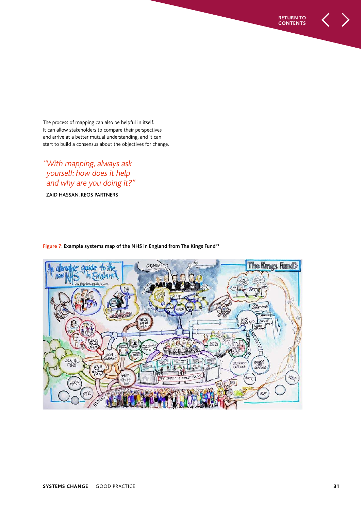The process of mapping can also be helpful in itself. It can allow stakeholders to compare their perspectives and arrive at a better mutual understanding, and it can start to build a consensus about the objectives for change.

" With mapping, always ask yourself: how does it help and why are you doing it?"

ZAID HASSAN, REOS PARTNERS



**Figure 7: Example systems map of the NHS in England from The Kings Fund<sup>93</sup>**

**RETURN TO CONTENTS**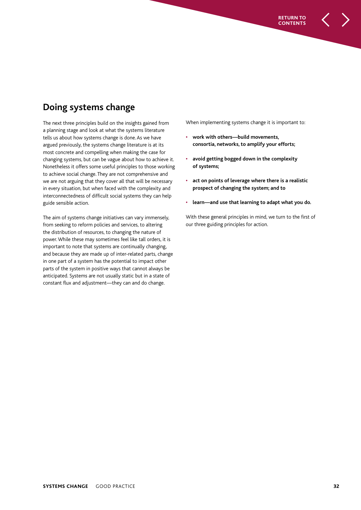**Doing systems change**

The next three principles build on the insights gained from a planning stage and look at what the systems literature tells us about how systems change is done. As we have argued previously, the systems change literature is at its most concrete and compelling when making the case for changing systems, but can be vague about how to achieve it. Nonetheless it offers some useful principles to those working to achieve social change. They are not comprehensive and we are not arguing that they cover all that will be necessary in every situation, but when faced with the complexity and interconnectedness of difficult social systems they can help guide sensible action.

The aim of systems change initiatives can vary immensely, from seeking to reform policies and services, to altering the distribution of resources, to changing the nature of power. While these may sometimes feel like tall orders, it is important to note that systems are continually changing, and because they are made up of inter-related parts, change in one part of a system has the potential to impact other parts of the system in positive ways that cannot always be anticipated. Systems are not usually static but in a state of constant flux and adjustment—they can and do change.

When implementing systems change it is important to:

**RETURN TO CONTENTS**

- **work with others—build movements, consortia, networks, to amplify your efforts;**
- **avoid getting bogged down in the complexity of systems;**
- **act on points of leverage where there is a realistic prospect of changing the system; and to**
- **learn—and use that learning to adapt what you do.**

With these general principles in mind, we turn to the first of our three guiding principles for action.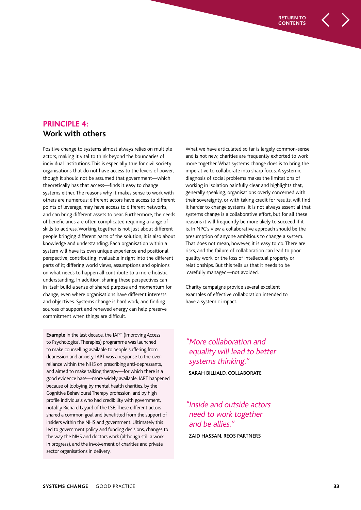## **PRINCIPLE 4: Work with others**

Positive change to systems almost always relies on multiple actors, making it vital to think beyond the boundaries of individual institutions. This is especially true for civil society organisations that do not have access to the levers of power, though it should not be assumed that government—which theoretically has that access—finds it easy to change systems either. The reasons why it makes sense to work with others are numerous: different actors have access to different points of leverage, may have access to different networks, and can bring different assets to bear. Furthermore, the needs of beneficiaries are often complicated requiring a range of skills to address. Working together is not just about different people bringing different parts of the solution, it is also about knowledge and understanding. Each organisation within a system will have its own unique experience and positional perspective, contributing invaluable insight into the different parts of it; differing world views, assumptions and opinions on what needs to happen all contribute to a more holistic understanding. In addition, sharing these perspectives can in itself build a sense of shared purpose and momentum for change, even where organisations have different interests and objectives. Systems change is hard work, and finding sources of support and renewed energy can help preserve commitment when things are difficult.

**Example** In the last decade, the IAPT (Improving Access to Psychological Therapies) programme was launched to make counselling available to people suffering from depression and anxiety. IAPT was a response to the overreliance within the NHS on prescribing anti-depressants, and aimed to make talking therapy—for which there is a good evidence base—more widely available. IAPT happened because of lobbying by mental health charities, by the Cognitive Behavioural Therapy profession, and by high profile individuals who had credibility with government, notably Richard Layard of the LSE. These different actors shared a common goal and benefitted from the support of insiders within the NHS and government. Ultimately this led to government policy and funding decisions, changes to the way the NHS and doctors work (although still a work in progress), and the involvement of charities and private sector organisations in delivery.

What we have articulated so far is largely common-sense and is not new; charities are frequently exhorted to work more together. What systems change does is to bring the imperative to collaborate into sharp focus. A systemic diagnosis of social problems makes the limitations of working in isolation painfully clear and highlights that, generally speaking, organisations overly concerned with their sovereignty, or with taking credit for results, will find it harder to change systems. It is not always essential that systems change is a collaborative effort, but for all these reasons it will frequently be more likely to succeed if it is. In NPC's view a collaborative approach should be the presumption of anyone ambitious to change a system. That does not mean, however, it is easy to do. There are risks, and the failure of collaboration can lead to poor quality work, or the loss of intellectual property or relationships. But this tells us that it needs to be carefully managed—not avoided.

**RETURN TO CONTENTS**

Charity campaigns provide several excellent examples of effective collaboration intended to have a systemic impact.

" More collaboration and equality will lead to better systems thinking." SARAH BILLIALD, COLLABORATE

" Inside and outside actors need to work together and be allies." ZAID HASSAN, REOS PARTNERS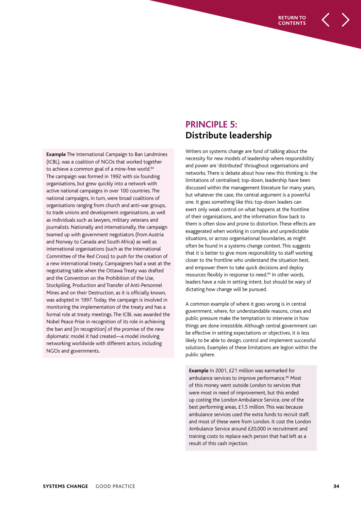**Example** The International Campaign to Ban Landmines (ICBL), was a coalition of NGOs that worked together to achieve a common goal of a mine-free world.<sup>94</sup> The campaign was formed in 1992 with six founding organisations, but grew quickly into a network with active national campaigns in over 100 countries. The national campaigns, in turn, were broad coalitions of organisations ranging from church and anti-war groups, to trade unions and development organisations, as well as individuals such as lawyers, military veterans and journalists. Nationally and internationally, the campaign teamed up with government negotiators (from Austria and Norway to Canada and South Africa) as well as international organisations (such as the International Committee of the Red Cross) to push for the creation of a new international treaty. Campaigners had a seat at the negotiating table when the Ottawa Treaty was drafted and the Convention on the Prohibition of the Use, Stockpiling, Production and Transfer of Anti-Personnel Mines and on their Destruction, as it is officially known, was adopted in 1997. Today, the campaign is involved in monitoring the implementation of the treaty and has a formal role at treaty meetings. The ICBL was awarded the Nobel Peace Prize in recognition of its role in achieving the ban and [in recognition] of the promise of the new diplomatic model it had created—a model involving networking worldwide with different actors, including NGOs and governments.

## **PRINCIPLE 5: Distribute leadership**

Writers on systems change are fond of talking about the necessity for new models of leadership where responsibility and power are 'distributed' throughout organisations and networks. There is debate about how new this thinking is: the limitations of centralised, top-down, leadership have been discussed within the management literature for many years, but whatever the case, the central argument is a powerful one. It goes something like this: top-down leaders can exert only weak control on what happens at the frontline of their organisations, and the information flow back to them is often slow and prone to distortion. These effects are exaggerated when working in complex and unpredictable situations, or across organisational boundaries, as might often be found in a systems change context. This suggests that it is better to give more responsibility to staff working closer to the frontline who understand the situation best, and empower them to take quick decisions and deploy resources flexibly in response to need.<sup>95</sup> In other words, leaders have a role in setting intent, but should be wary of dictating how change will be pursued.

A common example of where it goes wrong is in central government, where, for understandable reasons, crises and public pressure make the temptation to intervene in how things are done irresistible. Although central government can be effective in setting expectations or objectives, it is less likely to be able to design, control and implement successful solutions. Examples of these limitations are legion within the public sphere.

**Example** In 2001, £21 million was earmarked for ambulance services to improve performance.<sup>96</sup> Most of this money went outside London to services that were most in need of improvement, but this ended up costing the London Ambulance Service, one of the best performing areas, £1.5 million. This was because ambulance services used the extra funds to recruit staff, and most of these were from London. It cost the London Ambulance Service around £20,000 in recruitment and training costs to replace each person that had left as a result of this cash injection.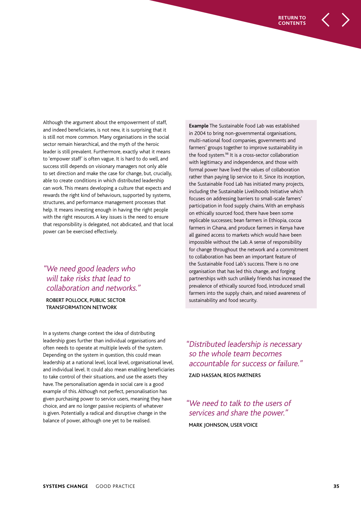Although the argument about the empowerment of staff, and indeed beneficiaries, is not new, it is surprising that it is still not more common. Many organisations in the social sector remain hierarchical, and the myth of the heroic leader is still prevalent. Furthermore, exactly what it means to 'empower staff' is often vague. It is hard to do well, and success still depends on visionary managers not only able to set direction and make the case for change, but, crucially, able to create conditions in which distributed leadership can work. This means developing a culture that expects and rewards the right kind of behaviours, supported by systems, structures, and performance management processes that help. It means investing enough in having the right people with the right resources. A key issues is the need to ensure that responsibility is delegated, not abdicated, and that local power can be exercised effectively.

## "We need good leaders who will take risks that lead to collaboration and networks."

ROBERT POLLOCK, PUBLIC SECTOR TRANSFORMATION NETWORK

In a systems change context the idea of distributing leadership goes further than individual organisations and often needs to operate at multiple levels of the system. Depending on the system in question, this could mean leadership at a national level, local level, organisational level, and individual level. It could also mean enabling beneficiaries to take control of their situations, and use the assets they have. The personalisation agenda in social care is a good example of this. Although not perfect, personalisation has given purchasing power to service users, meaning they have choice, and are no longer passive recipients of whatever is given. Potentially a radical and disruptive change in the balance of power, although one yet to be realised.

**Example** The Sustainable Food Lab was established manaple is also analyzed to distribute of the distributions.<br>In 2004 to bring non-governmental organisations, movement, and the campaigning world provides the campaigning world provides and multi-national food companies, governments and mate national tool companies, governments and<br>farmers' groups together to improve sustainability in the food system.<sup>98</sup> It is a cross-sector collaboration with legitimacy and independence, and those with formal power have lived the values of collaboration rather than paying lip service to it. Since its inception, the Sustainable Food Lab has initiated many projects, including the Sustainable Livelihoods Initiative which focuses on addressing barriers to small-scale famers' participation in food supply chains. With an emphasis on ethically sourced food, there have been some replicable successes; bean farmers in Ethiopia, cocoa farmers in Ghana, and produce farmers in Kenya have all gained access to markets which would have been impossible without the Lab. A sense of responsibility for change throughout the network and a commitment to collaboration has been an important feature of the Sustainable Food Lab's success. There is no one organisation that has led this change, and forging partnerships with such unlikely friends has increased the prevalence of ethically sourced food, introduced small farmers into the supply chain, and raised awareness of sustainability and food security.

" Distributed leadership is necessary so the whole team becomes accountable for success or failure." ZAID HASSAN, REOS PARTNERS

"We need to talk to the users of services and share the power." MARK JOHNSON, USER VOICE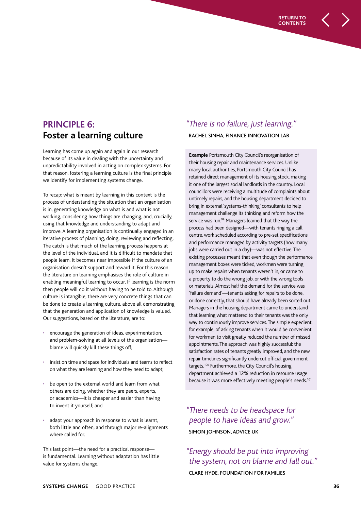## **PRINCIPLE 6: Foster a learning culture**

Learning has come up again and again in our research because of its value in dealing with the uncertainty and unpredictability involved in acting on complex systems. For that reason, fostering a learning culture is the final principle we identify for implementing systems change.

To recap: what is meant by learning in this context is the process of understanding the situation that an organisation is in, generating knowledge on what is and what is not working, considering how things are changing, and, crucially, using that knowledge and understanding to adapt and improve. A learning organisation is continually engaged in an iterative process of planning, doing, reviewing and reflecting. The catch is that much of the learning process happens at the level of the individual, and it is difficult to mandate that people learn. It becomes near impossible if the culture of an organisation doesn't support and reward it. For this reason the literature on learning emphasises the role of culture in enabling meaningful learning to occur. If learning is the norm then people will do it without having to be told to. Although culture is intangible, there are very concrete things that can be done to create a learning culture, above all demonstrating that the generation and application of knowledge is valued. Our suggestions, based on the literature, are to:

- encourage the generation of ideas, experimentation, and problem-solving at all levels of the organisation blame will quickly kill these things off;
- insist on time and space for individuals and teams to reflect on what they are learning and how they need to adapt;
- be open to the external world and learn from what others are doing, whether they are peers, experts, or academics—it is cheaper and easier than having to invent it yourself; and
- adapt your approach in response to what is learnt, both little and often, and through major re-alignments where called for.

This last point—the need for a practical response is fundamental. Learning without adaptation has little value for systems change.

## " There is no failure, just learning."

**RETURN TO CONTENTS**

RACHEL SINHA, FINANCE INNOVATION LAB

**Example** Portsmouth City Council's reorganisation of their housing repair and maintenance services. Unlike many local authorities, Portsmouth City Council has retained direct management of its housing stock, making it one of the largest social landlords in the country. Local councillors were receiving a multitude of complaints about untimely repairs, and the housing department decided to bring in external 'systems-thinking' consultants to help management challenge its thinking and reform how the service was run.<sup>99</sup> Managers learned that the way the process had been designed—with tenants ringing a call centre, work scheduled according to pre-set specifications and performance managed by activity targets (how many jobs were carried out in a day)—was not effective. The existing processes meant that even though the performance management boxes were ticked, workmen were turning up to make repairs when tenants weren't in, or came to a property to do the wrong job, or with the wrong tools or materials. Almost half the demand for the service was 'failure demand'—tenants asking for repairs to be done, or done correctly, that should have already been sorted out. Managers in the housing department came to understand that learning what mattered to their tenants was the only way to continuously improve services. The simple expedient, for example, of asking tenants when it would be convenient for workmen to visit greatly reduced the number of missed appointments. The approach was highly successful: the satisfaction rates of tenants greatly improved, and the new repair timelines significantly undercut official government targets.<sup>100</sup> Furthermore, the City Council's housing department achieved a 12% reduction in resource usage because it was more effectively meeting people's needs.<sup>101</sup>

" There needs to be headspace for people to have ideas and grow." SIMON JOHNSON, ADVICE UK

"Energy should be put into improving the system, not on blame and fall out." CLARE HYDE, FOUNDATION FOR FAMILIES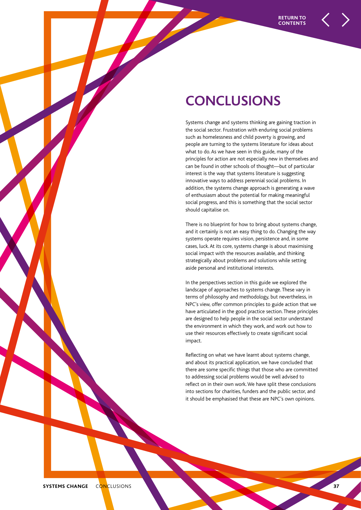## **CONCLUSIONS**

Systems change and systems thinking are gaining traction in the social sector. Frustration with enduring social problems such as homelessness and child poverty is growing, and people are turning to the systems literature for ideas about what to do. As we have seen in this guide, many of the principles for action are not especially new in themselves and can be found in other schools of thought—but of particular interest is the way that systems literature is suggesting innovative ways to address perennial social problems. In addition, the systems change approach is generating a wave of enthusiasm about the potential for making meaningful social progress, and this is something that the social sector should capitalise on.

There is no blueprint for how to bring about systems change, and it certainly is not an easy thing to do. Changing the way systems operate requires vision, persistence and, in some cases, luck. At its core, systems change is about maximising social impact with the resources available, and thinking strategically about problems and solutions while setting aside personal and institutional interests.

In the perspectives section in this guide we explored the landscape of approaches to systems change. These vary in terms of philosophy and methodology, but nevertheless, in NPC's view, offer common principles to guide action that we have articulated in the good practice section. These principles are designed to help people in the social sector understand the environment in which they work, and work out how to use their resources effectively to create significant social impact.

Reflecting on what we have learnt about systems change, and about its practical application, we have concluded that there are some specific things that those who are committed to addressing social problems would be well advised to reflect on in their own work. We have split these conclusions into sections for charities, funders and the public sector, and it should be emphasised that these are NPC's own opinions.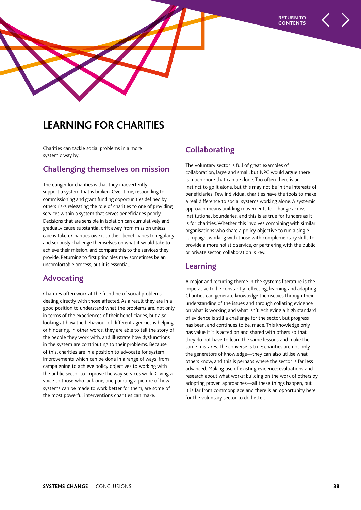

## **LEARNING FOR CHARITIES**

Charities can tackle social problems in a more systemic way by:

#### **Challenging themselves on mission**

The danger for charities is that they inadvertently support a system that is broken. Over time, responding to commissioning and grant funding opportunities defined by others risks relegating the role of charities to one of providing services within a system that serves beneficiaries poorly. Decisions that are sensible in isolation can cumulatively and gradually cause substantial drift away from mission unless care is taken. Charities owe it to their beneficiaries to regularly and seriously challenge themselves on what it would take to achieve their mission, and compare this to the services they provide. Returning to first principles may sometimes be an uncomfortable process, but it is essential.

## **Advocating**

Charities often work at the frontline of social problems, dealing directly with those affected. As a result they are in a good position to understand what the problems are, not only in terms of the experiences of their beneficiaries, but also looking at how the behaviour of different agencies is helping or hindering. In other words, they are able to tell the story of the people they work with, and illustrate how dysfunctions in the system are contributing to their problems. Because of this, charities are in a position to advocate for system improvements which can be done in a range of ways, from campaigning to achieve policy objectives to working with the public sector to improve the way services work. Giving a voice to those who lack one, and painting a picture of how systems can be made to work better for them, are some of the most powerful interventions charities can make.

## **Collaborating**

The voluntary sector is full of great examples of collaboration, large and small, but NPC would argue there is much more that can be done. Too often there is an instinct to go it alone, but this may not be in the interests of beneficiaries. Few individual charities have the tools to make a real difference to social systems working alone. A systemic approach means building movements for change across institutional boundaries, and this is as true for funders as it is for charities. Whether this involves combining with similar organisations who share a policy objective to run a single campaign, working with those with complementary skills to provide a more holistic service, or partnering with the public or private sector, collaboration is key.

#### **Learning**

A major and recurring theme in the systems literature is the imperative to be constantly reflecting, learning and adapting. Charities can generate knowledge themselves through their understanding of the issues and through collating evidence on what is working and what isn't. Achieving a high standard of evidence is still a challenge for the sector, but progress has been, and continues to be, made. This knowledge only has value if it is acted on and shared with others so that they do not have to learn the same lessons and make the same mistakes. The converse is true: charities are not only the generators of knowledge—they can also utilise what others know, and this is perhaps where the sector is far less advanced. Making use of existing evidence; evaluations and research about what works; building on the work of others by adopting proven approaches—all these things happen, but it is far from commonplace and there is an opportunity here for the voluntary sector to do better.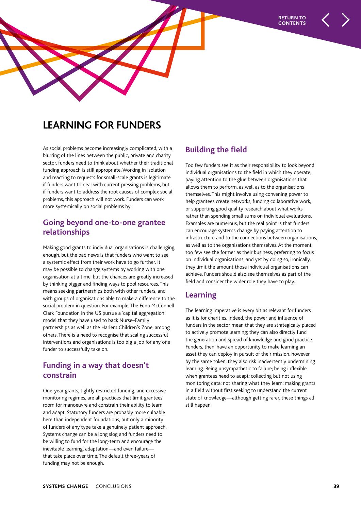

## **LEARNING FOR FUNDERS**

As social problems become increasingly complicated, with a blurring of the lines between the public, private and charity sector, funders need to think about whether their traditional funding approach is still appropriate. Working in isolation and reacting to requests for small-scale grants is legitimate if funders want to deal with current pressing problems, but if funders want to address the root causes of complex social problems, this approach will not work. Funders can work more systemically on social problems by:

## **Going beyond one-to-one grantee relationships**

Making good grants to individual organisations is challenging enough, but the bad news is that funders who want to see a systemic effect from their work have to go further. It may be possible to change systems by working with one organisation at a time, but the chances are greatly increased by thinking bigger and finding ways to pool resources. This means seeking partnerships both with other funders, and with groups of organisations able to make a difference to the social problem in question. For example, The Edna McConnell Clark Foundation in the US pursue a 'capital aggregation' model that they have used to back Nurse–Family partnerships as well as the Harlem Children's Zone, among others. There is a need to recognise that scaling successful interventions and organisations is too big a job for any one funder to successfully take on.

## **Funding in a way that doesn't constrain**

One-year grants, tightly restricted funding, and excessive monitoring regimes, are all practices that limit grantees' room for manoeuvre and constrain their ability to learn and adapt. Statutory funders are probably more culpable here than independent foundations, but only a minority of funders of any type take a genuinely patient approach. Systems change can be a long slog and funders need to be willing to fund for the long-term and encourage the inevitable learning, adaptation—and even failure that take place over time. The default three-years of funding may not be enough.

## **Building the field**

Too few funders see it as their responsibility to look beyond individual organisations to the field in which they operate, paying attention to the glue between organisations that allows them to perform, as well as to the organisations themselves. This might involve using convening power to help grantees create networks, funding collaborative work, or supporting good quality research about what works rather than spending small sums on individual evaluations. Examples are numerous, but the real point is that funders can encourage systems change by paying attention to infrastructure and to the connections between organisations, as well as to the organisations themselves. At the moment too few see the former as their business, preferring to focus on individual organisations, and yet by doing so, ironically, they limit the amount those individual organisations can achieve. Funders should also see themselves as part of the field and consider the wider role they have to play.

## **Learning**

The learning imperative is every bit as relevant for funders as it is for charities. Indeed, the power and influence of funders in the sector mean that they are strategically placed to actively promote learning; they can also directly fund the generation and spread of knowledge and good practice. Funders, then, have an opportunity to make learning an asset they can deploy in pursuit of their mission, however, by the same token, they also risk inadvertently undermining learning. Being unsympathetic to failure; being inflexible when grantees need to adapt; collecting but not using monitoring data; not sharing what they learn; making grants in a field without first seeking to understand the current state of knowledge—although getting rarer, these things all still happen.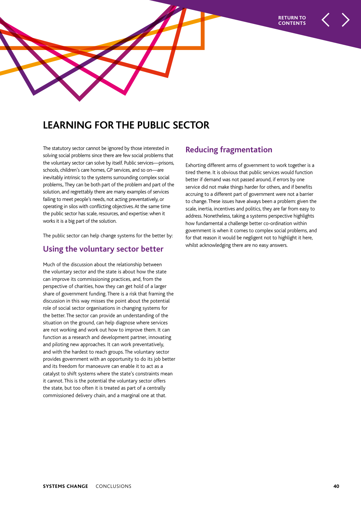

## **LEARNING FOR THE PUBLIC SECTOR**

The statutory sector cannot be ignored by those interested in solving social problems since there are few social problems that the voluntary sector can solve by itself. Public services—prisons, schools, children's care homes, GP services, and so on—are inevitably intrinsic to the systems surrounding complex social problems,. They can be both part of the problem and part of the solution, and regrettably there are many examples of services failing to meet people's needs, not acting preventatively, or operating in silos with conflicting objectives. At the same time the public sector has scale, resources, and expertise: when it works it is a big part of the solution.

The public sector can help change systems for the better by:

#### **Using the voluntary sector better**

Much of the discussion about the relationship between the voluntary sector and the state is about how the state can improve its commissioning practices, and, from the perspective of charities, how they can get hold of a larger share of government funding. There is a risk that framing the discussion in this way misses the point about the potential role of social sector organisations in changing systems for the better. The sector can provide an understanding of the situation on the ground, can help diagnose where services are not working and work out how to improve them. It can function as a research and development partner, innovating and piloting new approaches. It can work preventatively, and with the hardest to reach groups. The voluntary sector provides government with an opportunity to do its job better and its freedom for manoeuvre can enable it to act as a catalyst to shift systems where the state's constraints mean it cannot. This is the potential the voluntary sector offers the state, but too often it is treated as part of a centrally commissioned delivery chain, and a marginal one at that.

## **Reducing fragmentation**

Exhorting different arms of government to work together is a tired theme. It is obvious that public services would function better if demand was not passed around, if errors by one service did not make things harder for others, and if benefits accruing to a different part of government were not a barrier to change. These issues have always been a problem: given the scale, inertia, incentives and politics, they are far from easy to address. Nonetheless, taking a systems perspective highlights how fundamental a challenge better co-ordination within government is when it comes to complex social problems, and for that reason it would be negligent not to highlight it here, whilst acknowledging there are no easy answers.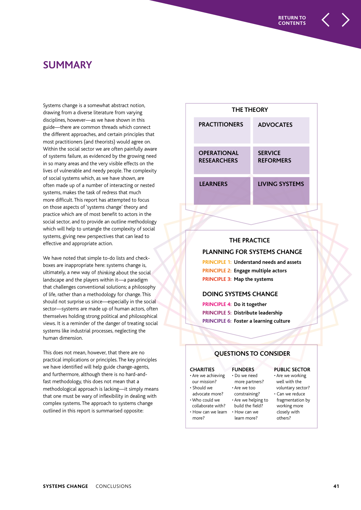## **SUMMARY**

Systems change is a somewhat abstract notion, drawing from a diverse literature from varying disciplines, however—as we have shown in this guide—there are common threads which connect the different approaches, and certain principles that most practitioners (and theorists) would agree on. Within the social sector we are often painfully aware of systems failure, as evidenced by the growing need in so many areas and the very visible effects on the lives of vulnerable and needy people. The complexity of social systems which, as we have shown, are often made up of a number of interacting or nested systems, makes the task of redress that much more difficult. This report has attempted to focus on those aspects of 'systems change' theory and practice which are of most benefit to actors in the social sector, and to provide an outline methodology which will help to untangle the complexity of social systems, giving new perspectives that can lead to effective and appropriate action.

We have noted that simple to-do lists and checkboxes are inappropriate here: systems change is, ultimately, a new way of thinking about the social landscape and the players within it—a paradigm that challenges conventional solutions; a philosophy of life, rather than a methodology for change. This should not surprise us since—especially in the social sector—systems are made up of human actors, often themselves holding strong political and philosophical views. It is a reminder of the danger of treating social systems like industrial processes, neglecting the human dimension.

This does not mean, however, that there are no practical implications or principles. The key principles we have identified will help guide change-agents, and furthermore, although there is no hard-andfast methodology, this does not mean that a methodological approach is lacking—it simply means that one must be wary of inflexibility in dealing with complex systems. The approach to systems change outlined in this report is summarised opposite:

| <b>THE THEORY</b>                        |                                    |  |  |
|------------------------------------------|------------------------------------|--|--|
| <b>PRACTITIONERS</b>                     | <b>ADVOCATES</b>                   |  |  |
| <b>OPERATIONAL</b><br><b>RESEARCHERS</b> | <b>SERVICE</b><br><b>REFORMERS</b> |  |  |
| <b>LEARNERS</b>                          | <b>LIVING SYSTEMS</b>              |  |  |

#### **THE PRACTICE**

#### **PLANNING FOR SYSTEMS CHANGE**

**PRINCIPLE 1: Understand needs and assets PRINCIPLE 2: Engage multiple actors PRINCIPLE 3: Map the systems**

#### **DOING SYSTEMS CHANGE**

**PRINCIPLE 4: Do it together PRINCIPLE 5: Distribute leadership PRINCIPLE 6: Foster a learning culture**

#### **QUESTIONS TO CONSIDER**

#### **CHARITIES**

#### • Are we achieving • Do we need

our mission? • Should we

more?

- advocate more? • Who could we
- constraining? • Are we helping to collaborate with?

**FUNDERS**

more partners? • Are we too

build the field? • How can we learn • How can we learn more?

#### **PUBLIC SECTOR**

- Are we working well with the voluntary sector?
- Can we reduce fragmentation by working more closely with others?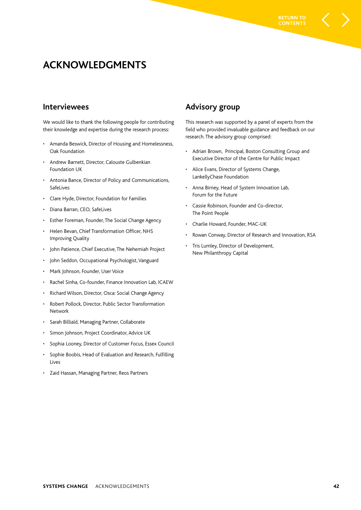**CONTENTS**

## **ACKNOWLEDGMENTS**

#### **Interviewees**

We would like to thank the following people for contributing their knowledge and expertise during the research process:

- Amanda Beswick, Director of Housing and Homelessness, Oak Foundation
- Andrew Barnett, Director, Calouste Gulbenkian Foundation UK
- Antonia Bance, Director of Policy and Communications, SafeLives
- Clare Hyde, Director, Foundation for Families
- Diana Barran, CEO, SafeLives
- Esther Foreman, Founder, The Social Change Agency
- Helen Bevan, Chief Transformation Officer, NHS Improving Quality
- John Patience, Chief Executive, The Nehemiah Project
- John Seddon, Occupational Psychologist, Vanguard
- Mark Johnson, Founder, User Voice
- Rachel Sinha, Co-founder, Finance Innovation Lab, ICAEW
- Richard Wilson, Director, Osca: Social Change Agency
- Robert Pollock, Director, Public Sector Transformation Network
- Sarah Billiald, Managing Partner, Collaborate
- Simon Johnson, Project Coordinator, Advice UK
- Sophia Looney, Director of Customer Focus, Essex Council
- Sophie Boobis, Head of Evaluation and Research, Fulfilling Lives
- Zaid Hassan, Managing Partner, Reos Partners

## **Advisory group**

This research was supported by a panel of experts from the field who provided invaluable guidance and feedback on our research. The advisory group comprised:

- Adrian Brown, Principal, Boston Consulting Group and Executive Director of the Centre for Public Impact
- Alice Evans, Director of Systems Change, LankellyChase Foundation
- Anna Birney, Head of System Innovation Lab, Forum for the Future
- Cassie Robinson, Founder and Co-director, The Point People
- Charlie Howard, Founder, MAC-UK
- Rowan Conway, Director of Research and Innovation, RSA
- Tris Lumley, Director of Development, New Philanthropy Capital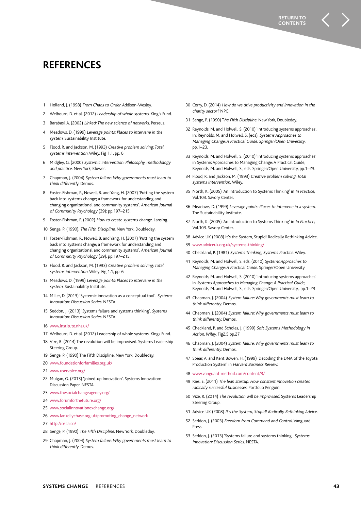## **REFERENCES**

- 1 Holland, J. (1998) From Chaos to Order. Addison-Wesley.
- 2 Welbourn, D. et al. (2012) Leadership of whole systems. King's Fund.
- 3 Barabasi, A. (2002) Linked: The new science of networks. Perseus.
- Meadows, D. (1999) Leverage points: Places to intervene in the system. Sustainability Institute.
- 5 Flood, R. and Jackson, M. (1993) Creative problem solving: Total systems intervention. Wiley. Fig 1.1, pp. 6
- 6 Midgley, G. (2000) Systemic intervention: Philosophy, methodology and practice. New York, Kluwer.
- 7 Chapman, J. (2004) System failure: Why governments must learn to think differently. Demos.
- 8 Foster-Fishman, P., Nowell, B. and Yang, H. (2007) 'Putting the system back into systems change; a framework for understanding and changing organizational and community systems'. American Journal of Community Psychology (39): pp.197–215.
- 9 Foster-Fishman, P. (2002) How to create systems change. Lansing.
- 10 Senge, P. (1990). The Fifth Discipline. New York, Doubleday.
- 11 Foster-Fishman, P., Nowell, B. and Yang, H. (2007) 'Putting the system back into systems change; a framework for understanding and changing organizational and community systems'. American Journal of Community Psychology (39): pp.197–215.
- 12 Flood, R. and Jackson, M. (1993) Creative problem solving: Total systems intervention. Wiley. Fig 1.1, pp. 6
- 13 Meadows, D. (1999) Leverage points: Places to intervene in the system. Sustainability Institute.
- 14 Miller, D. (2013) 'Systemic innovation as a conceptual tool'. Systems Innovation: Discussion Series. NESTA.
- 15 Seddon, J. (2013) 'Systems failure and systems thinking'. Systems Innovation: Discussion Series. NESTA.
- 16 www.institute.nhs.uk/
- 17 Welbourn, D. et al. (2012) Leadership of whole systems. Kings Fund.
- 18 Vize, R. (2014) The revolution will be improvised. Systems Leadership Steering Group.
- 19 Senge, P. (1990) The Fifth Discipline. New York, Doubleday.
- 20 www.foundationforfamilies.org.uk/
- 21 www.uservoice.org/
- 22 Mulgan, G. (2013) 'Joined-up Innovation'. Systems Innovation: Discussion Paper. NESTA.
- 23 www.thesocialchangeagency.org/
- 24 www.forumforthefuture.org/
- 25 www.socialinnovationexchange.org/
- 26 www.lankellychase.org.uk/promoting\_change\_network
- 27 http://osca.co/
- 28 Senge, P. (1990) The Fifth Discipline. New York, Doubleday.
- 29 Chapman, J. (2004) System failure: Why governments must learn to think differently. Demos.
- 30 Corry, D. (2014) How do we drive productivity and innovation in the charity sector? NPC.
- 31 Senge, P. (1990) The Fifth Discipline. New York, Doubleday.
- 32 Reynolds, M. and Holwell, S. (2010) 'Introducing systems approaches'. In: Reynolds, M. and Holwell, S. (eds). Systems Approaches to Managing Change: A Practical Guide. Springer/Open University. pp.1–23.
- 33 Reynolds, M. and Holwell, S. (2010) 'Introducing systems approaches' in Systems Approaches to Managing Change: A Practical Guide, Reynolds, M. and Holwell, S., eds. Springer/Open University, pp.1–23.
- 34 Flood, R. and Jackson, M. (1993) Creative problem solving: Total systems intervention. Wiley.
- 35 North, K. (2005) 'An Introduction to Systems Thinking' in In Practice, Vol.103. Savory Center.
- 36 Meadows, D. (1999) Leverage points: Places to intervene in a system. The Sustainability Institute.
- 37 North, K. (2005) 'An Introduction to Systems Thinking' in In Practice, Vol.103. Savory Center.
- 38 Advice UK (2008) It's the System, Stupid! Radically Rethinking Advice.
- 39 www.adviceuk.org.uk/systems-thinking/
- 40 Checkland, P. (1981) Systems Thinking, Systems Practice. Wiley.
- 41 Reynolds, M. and Holwell, S. eds. (2010) Systems Approaches to Managing Change: A Practical Guide. Springer/Open University.
- 42 Reynolds, M. and Holwell, S. (2010) 'Introducing systems approaches' in Systems Approaches to Managing Change: A Practical Guide, Reynolds, M. and Holwell, S., eds. Springer/Open University,. pp.1–23
- 43 Chapman, J. (2004) System failure: Why governments must learn to think differently. Demos.
- 44 Chapman, J. (2004) System failure: Why governments must learn to think differently. Demos.
- 45 Checkland, P. and Scholes, J. (1999) Soft Systems Methodology in Action. Wiley. Fig2.5 pp.27
- 46 Chapman, J. (2004) System failure: Why governments must learn to think differently. Demos.
- 47 Spear, A. and Kent Bowen, H. (1999) 'Decoding the DNA of the Toyota Production System' in Harvard Business Review.
- 48 www.vanguard-method.com/content/3/
- 49 Ries, E. (2011) The lean startup: How constant innovation creates radically successful businesses. Portfolio Penguin.
- 50 Vize, R. (2014) The revolution will be improvised. Systems Leadership Steering Group.
- 51 Advice UK (2008) It's the System, Stupid! Radically Rethinking Advice.
- 52 Seddon, J. (2003) Freedom from Command and Control. Vanguard Press.
- 53 Seddon, J. (2013) 'Systems failure and systems thinking'. Systems Innovation: Discussion Series. NESTA.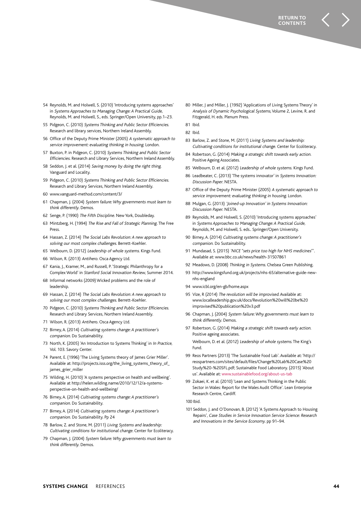- 54 Reynolds, M. and Holwell, S. (2010) 'Introducing systems approaches' in Systems Approaches to Managing Change: A Practical Guide, Reynolds, M. and Holwell, S., eds. Springer/Open University, pp.1–23.
- 55 Pidgeon, C. (2010) Systems Thinking and Public Sector Efficiencies. Research and library services, Northern Ireland Assembly.
- 56 Office of the Deputy Prime Minister (2005) A systematic approach to service improvement: evaluating thinking in housing. London.
- 57 Buxton, P. in Pidgeon, C. (2010) Systems Thinking and Public Sector Efficiencies. Research and Library Services, Northern Ireland Assembly.
- 58 Seddon, J. et al. (2014) Saving money by doing the right thing. Vanguard and Locality.
- 59 Pidgeon, C. (2010) Systems Thinking and Public Sector Efficiencies. Research and Library Services, Northern Ireland Assembly.
- 60 www.vanguard-method.com/content/3/
- 61 Chapman, J. (2004) System failure: Why governments must learn to think differently. Demos.
- 62 Senge, P. (1990) The Fifth Discipline. New York, Doubleday.
- 63 Mintzberg, H. (1994) The Rise and Fall of Strategic Planning. The Free Press.
- 64 Hassan, Z. (2014) The Social Labs Revolution: A new approach to solving our most complex challenges. Berrett-Koehler.
- 65 Welbourn, D. (2012) Leadership of whole systems. Kings Fund.
- 66 Wilson, R. (2013) Antihero. Osca Agency Ltd.
- 67 Kania, J., Kramer, M., and Russell, P. 'Strategic Philanthropy for a Complex World' in Stanford Social Innovation Review, Summer 2014.
- 68 Informal networks (2009) Wicked problems and the role of leadership.
- 69 Hassan, Z. (2014) The Social Labs Revolution: A new approach to solving our most complex challenges. Berrett-Koehler.
- 70 Pidgeon, C. (2010) Systems Thinking and Public Sector Efficiencies. Research and Library Services, Northern Ireland Assembly.
- 71 Wilson, R. (2013) Antihero. Osca Agency Ltd.
- 72 Birney, A. (2014) Cultivating systems change: A practitioner's companion. Do Sustainability.
- 73 North, K. (2005) 'An Introduction to Systems Thinking' in In Practice, Vol. 103. Savory Center.
- 74 Parent, E. (1996) 'The Living Systems theory of James Grier Miller'. Available at: http://projects.isss.org/the\_living\_systems\_theory\_of\_ james grier\_miller
- 75 Wilding, H. (2010) 'A systems perspective on health and wellbeing'. Available at http://helen.wilding.name/2010/12/12/a-systemsperspective-on-health-and-wellbeing/
- 76 Birney, A. (2014) Cultivating systems change: A practitioner's companion. Do Sustainability.
- 77 Birney, A. (2014) Cultivating systems change: A practitioner's companion. Do Sustainability. Pp 24
- 78 Barlow, Z. and Stone, M. (2011) Living Systems and leadership: Cultivating conditions for institutional change. Center for Ecoliteracy.
- 79 Chapman, J. (2004) System failure: Why governments must learn to think differently. Demos.
- 80 Miller, J and Miller, J. (1992) 'Applications of Living Systems Theory' in Analysis of Dynamic Psychological Systems, Volume 2, Levine, R. and Fitzgerald, H. eds. Plenum Press.
- 81 Ibid.
- 82 Ibid.
- 83 Barlow, Z. and Stone, M. (2011) Living Systems and leadership: Cultivating conditions for institutional change. Center for Ecoliteracy.
- 84 Robertson, G. (2014) Making a strategic shift towards early action. Positive Ageing Associates.
- 85 Welbourn, D. et al. (2012) Leadership of whole systems. Kings Fund.
- 86 Leadbeater, C. (2013) 'The systems innovator' in Systems Innovation: Discussion Paper. NESTA.
- 87 Office of the Deputy Prime Minister (2005) A systematic approach to service improvement: evaluating thinking in housing. London.
- 88 Mulgan, G. (2013) 'Joined-up Innovation' in Systems Innovation: Discussion Paper. NESTA.
- 89 Reynolds, M. and Holwell, S. (2010) 'Introducing systems approaches' in Systems Approaches to Managing Change: A Practical Guide, Reynolds, M. and Holwell, S. eds.. Springer/Open University.
- 90 Birney, A. (2014) Cultivating systems change: A practitioner's companion. Do Sustainability.
- 91 Mundasad, S. (2015) 'NICE "sets price too high for NHS medicines"'. Available at: www.bbc.co.uk/news/health-31507861
- 92 Meadows, D. (2008) Thinking in Systems. Chelsea Green Publishing.
- 93 http://www.kingsfund.org.uk/projects/nhs-65/alternative-guide-newnhs-england
- 94 www.icbl.org/en-gb/home.aspx
- 95 Vize, R (2014) The revolution will be improvised. Available at: www.localleadership.gov.uk/docs/Revolution%20will%20be%20 improvised%20publication%20v3.pdf
- 96 Chapman, J. (2004) System failure: Why governments must learn to think differently. Demos.
- 97 Robertson, G. (2014) Making a strategic shift towards early action. Positive ageing associates.

 Welbourn, D. et al. (2012) Leadership of whole systems. The King's Fund.

- 99 Reos Partners (2013) 'The Sustainable Food Lab'. Available at: 'http:// reospartners.com/sites/default/files/Change%20Lab%20Case%20 Study%20-%20SFL.pdf; Sustainable Food Laboratory. (2015) 'About us'. Available at: www.sustainablefood.org/about-us-tab
- 99 Zokaei, K. et al. (2010) 'Lean and Systems Thinking in the Public Sector in Wales: Report for the Wales Audit Office'. Lean Enterprise Research Centre, Cardiff.

100 Ibid.

101 Seddon, J. and O'Donovan, B. (2012) 'A Systems Approach to Housing Repairs', Case Studies in Service Innovation Service Science: Research and Innovations in the Service Economy. pp 91–94.